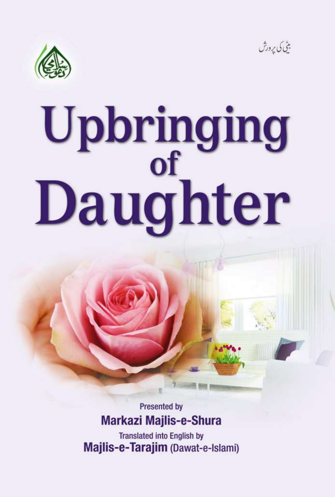



بٹی کی پرورش

**Presented by Markazi Majlis-e-Shura** 

**Translated into English by** Majlis-e-Tarajim (Dawat-e-Islami)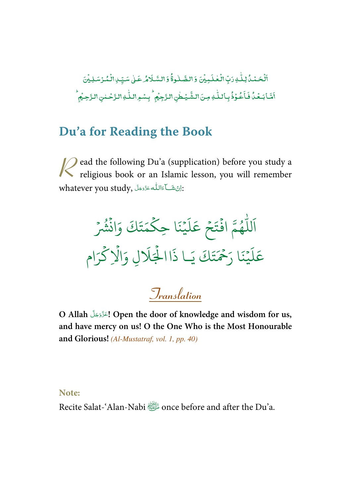-ٱلۡحَـۡـُدُّكِۚ لِكَٰـٰهِ رَبِّ الۡـَٰڂلَـٰـِيۡنَ وَ الصَّـٰلُـوةُۚ وَ السَّـلَامُٰـ عَـٰىٰ سَـبِّـٰ ِالۡـُمُّـرُسَـٰلِـيۡنَ j ֦֧ ٰ , ֦֧ -ٰ l ۡ , اَشَابَعۡدُۢ فَاََعُوۡدُۢ بِاۢللّٰهِ مِنَ الشَّيۡطٰنِ الزَّجِيۡمِ ۚ بِسۡوِ اللّٰهِ الزَّحۡلٰنِ الزَّحِيۡمِ ٰ -֧֘ ۡ -֧<sup>֓</sup>  $\overline{a}$ ۡ ٰ --֧<sup>֦</sup> ٰ

# **Du'a for Reading the Book**

ead the following Du'a (supplication) before you study a **R** ead the following Du'a (supplication) before you study a religious book or an Islamic lesson, you will remember whatever you study, أَيَّا اللَّهُ عَذَّدَجَلَّ  $\sim$ -Í --

ۡ و<br>په د تَكَ وَانْشُرْ  $\ddot{\cdot}$ ت ر<br>ھ م ِ ا حك  $\frac{1}{2}$  $\ddot{\cdot}$ م<br>بينه  $\frac{1}{2}$ ر<br>آ ل  $\tilde{\epsilon}$ جُ عَ ۡ  $\frac{1}{2}$ وءَ افْتَ  $\ddot{\cdot}$ و<br>ھ ر<br>ا لل ر<br>آ ا ا .<br>تَكَ يَـا ذَ ت ِ<br>حُمَّ ح يْنَا <sub>ز</sub>َ  $\frac{1}{2}$ ر<br>آ ل  $\tilde{\epsilon}$ عَلَيْنَا رَحْمَتَكَ يَـا ذَاالْجَلَالِ وَالْإِكْرَام ہ<br>ح ہ<br>1 َ %َ ال ہ<br>ا

# **Translation**

O Allah التَّذَّذَبَّلَ Open the door of knowledge and wisdom for us, -**and have mercy on us! O the One Who is the Most Honourable and Glorious!** (Al-Mustatraf, vol. 1, pp. 40)

#### **Note:**

Recite Salat-'Alan-Nabi **shell and after the Du'a.**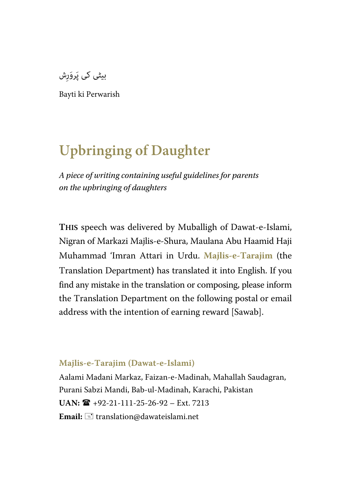بیٹی کی پَروَرِش

Bayti ki Perwarish

# **Upbringing of Daughter**

*A piece of writing containing useful guidelines for parents on the upbringing of daughters*

**THIS** speech was delivered by Muballigh of Dawat-e-Islami, Nigran of Markazi Majlis-e-Shura, Maulana Abu Haamid Haji Muhammad 'Imran Attari in Urdu. **Majlis-e-Tarajim** (the Translation Department**)** has translated it into English. If you find any mistake in the translation or composing, please inform the Translation Department on the following postal or email address with the intention of earning reward [Sawab].

#### **Majlis-e-Tarajim (Dawat-e-Islami)**

Aalami Madani Markaz, Faizan-e-Madinah, Mahallah Saudagran, Purani Sabzi Mandi, Bab-ul-Madinah, Karachi, Pakistan  $UAN: \mathbf{R}$  +92-21-111-25-26-92 – Ext. 7213 Email:  $\equiv$  translation@dawateislami.net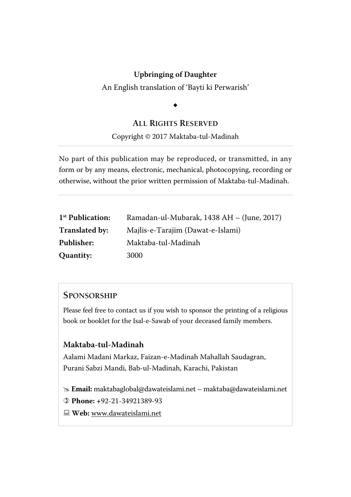An English translation of 'Bayti ki Perwarish'

 $\ddot{\phantom{0}}$ 

#### **ALL RIGHTS RESERVED**

Copyright © 2017 Maktaba-tul-Madinah

No part of this publication may be reproduced, or transmitted, in any form or by any means, electronic, mechanical, photocopying, recording or otherwise, without the prior written permission of Maktaba-tul-Madinah.

| 1 <sup>st</sup> Publication: | Ramadan-ul-Mubarak, 1438 AH – (June, 2017) |  |  |  |  |
|------------------------------|--------------------------------------------|--|--|--|--|
| <b>Translated by:</b>        | Majlis-e-Tarajim (Dawat-e-Islami)          |  |  |  |  |
| <b>Publisher:</b>            | Maktaba-tul-Madinah                        |  |  |  |  |
| <b>Quantity:</b>             | 3000                                       |  |  |  |  |

#### **SPONSORSHIP**

Please feel free to contact us if you wish to sponsor the printing of a religious book or booklet for the Isal-e-Sawab of your deceased family members.

#### **Maktaba-tul-Madinah**

Aalami Madani Markaz, Faizan-e-Madinah Mahallah Saudagran, Purani Sabzi Mandi, Bab-ul-Madinah, Karachi, Pakistan

 **Email:** maktabaglobal@dawateislami.net – maktaba@dawateislami.net

- **Phone: +**92-21-34921389-93
- **Web:** www.dawateislami.net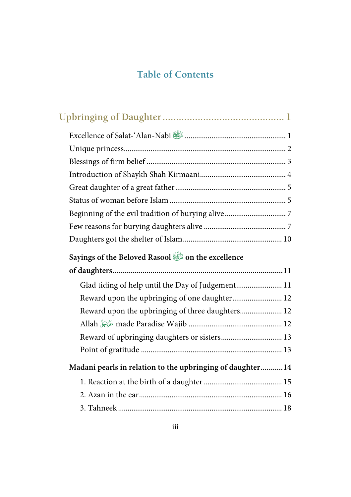# **Table of Contents**

| Sayings of the Beloved Rasool is on the excellence        |  |
|-----------------------------------------------------------|--|
|                                                           |  |
|                                                           |  |
| Glad tiding of help until the Day of Judgement 11         |  |
| Reward upon the upbringing of one daughter 12             |  |
| Reward upon the upbringing of three daughters 12          |  |
|                                                           |  |
| Reward of upbringing daughters or sisters 13              |  |
|                                                           |  |
| Madani pearls in relation to the upbringing of daughter14 |  |
|                                                           |  |
|                                                           |  |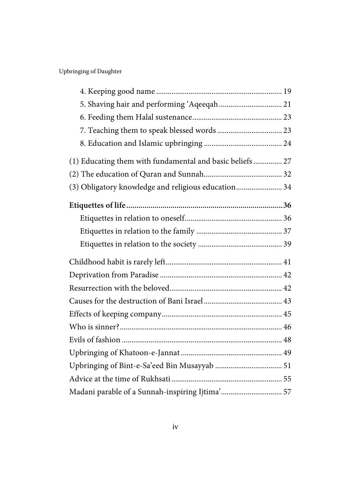| 5. Shaving hair and performing 'Aqeeqah  21              |  |  |  |  |
|----------------------------------------------------------|--|--|--|--|
|                                                          |  |  |  |  |
|                                                          |  |  |  |  |
|                                                          |  |  |  |  |
| (1) Educating them with fundamental and basic beliefs 27 |  |  |  |  |
|                                                          |  |  |  |  |
| (3) Obligatory knowledge and religious education 34      |  |  |  |  |
|                                                          |  |  |  |  |
|                                                          |  |  |  |  |
|                                                          |  |  |  |  |
|                                                          |  |  |  |  |
|                                                          |  |  |  |  |
|                                                          |  |  |  |  |
|                                                          |  |  |  |  |
|                                                          |  |  |  |  |
|                                                          |  |  |  |  |
|                                                          |  |  |  |  |
|                                                          |  |  |  |  |
|                                                          |  |  |  |  |
|                                                          |  |  |  |  |
|                                                          |  |  |  |  |
| Madani parable of a Sunnah-inspiring Ijtima' 57          |  |  |  |  |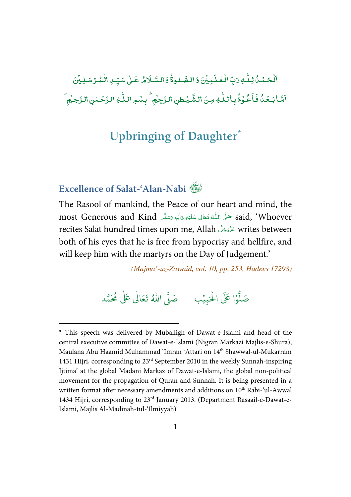#### ِ<br>اَلۡحَمۡمُّدُ لِـلَّـٰ وَتِّٖ الۡعۡلَـٰدِیۡنَ وَالصَّلُوۃُۚ وَالسَّـلَامُ عَـٰىٰ سَیِّـٰ ِالۡمُـُرۡ سَـٰلِیۡنَ  $\overline{a}$ ֘ -ٰ ֘ ֘ -ٰ ֘ ļ ់  $^{\bullet}$ ـ<br>يُـطْنِ الـزَّجِيُمِ ۚ بِسْـهِ الـلّٰـٰهِ الـزَّحۡـ ٰ --, ٰ ِ<br>خُوۡذُبِاۡللّٰهِ مِنَ الشَّ ٰ -;  $\ddot{\phantom{0}}$ اَمَّا بَعۡدُٰ فَاَعُوۡذُٰ بِٱللّٰهِ مِنَ الشَّيۡطٰنِ الرَّجِيۡمِ ۚ بِسۡوِ اللّٰهِ الرَّحۡمٰنِ الرَّحِيۡمِ ֦֧ ٰ  $\overline{a}$ -ۡ

# **Upbringing of Daughter\***

# **Excellence of Salat-'Alan-Nabi**

l

The Rasool of mankind, the Peace of our heart and mind, the most Generous and Kind حَلَّى اللَّهُ تَعَالَى عَلَيْهِ وَاللهِ وَسَلَّم most Generous and Kind ŕ --֘֒ j -Í --recites Salat hundred times upon me, Allah عَذَّدَجَلَّ arites between -both of his eyes that he is free from hypocrisy and hellfire, and will keep him with the martyrs on the Day of Judgement.'

(Majma'-uz-Zawaid, vol. 10, pp. 253, Hadees 17298)

#### .<br>وا عَلَى الْح ر<br>أ و<br>أ صَلُّوْا عَلَى الْحَبِيْبِ ۚ صَلَّى اللَّهُ تَعَالَىٰ عَلَىٰ مُحَمَّد ֘ ٰ

<sup>\*</sup> This speech was delivered by Muballigh of Dawat-e-Islami and head of the central executive committee of Dawat-e-Islami (Nigran Markazi Majlis-e-Shura), Maulana Abu Haamid Muhammad 'Imran 'Attari on 14<sup>th</sup> Shawwal-ul-Mukarram 1431 Hijri, corresponding to  $23<sup>rd</sup>$  September 2010 in the weekly Sunnah-inspiring Ijtima' at the global Madani Markaz of Dawat-e-Islami, the global non-political movement for the propagation of Quran and Sunnah. It is being presented in a written format after necessary amendments and additions on 10<sup>th</sup> Rabi-'ul-Awwal 1434 Hijri, corresponding to 23rd January 2013. (Department Rasaail-e-Dawat-e-Islami, Majlis Al-Madinah-tul-'Ilmiyyah)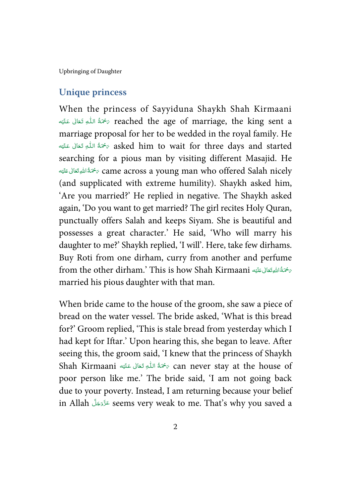#### **Unique princess**

When the princess of Sayyiduna Shaykh Shah Kirmaani reached the age of marriage, the king sent a يَحْمَةُ اللَّهِ تَعَالَى عَلَيْه ŕ -ļ --֘֒ Í !marriage proposal for her to be wedded in the royal family. He مَحْمَةُ اللَّهِ تَعَالَى عَلَيْه $\sigma$  asked him to wait for three days and started ŕ -ļ --֘֒ Í !searching for a pious man by visiting different Masajid. He خَمَةُ اللهِ تَعَالَى عَلَيْهِ $\sigma$  came across a young man who offered Salah nicely Í !--ĺ -(and supplicated with extreme humility). Shaykh asked him, 'Are you married?' He replied in negative. The Shaykh asked again, 'Do you want to get married? The girl recites Holy Quran, punctually offers Salah and keeps Siyam. She is beautiful and possesses a great character.' He said, 'Who will marry his daughter to me?' Shaykh replied, 'I will'. Here, take few dirhams. Buy Roti from one dirham, curry from another and perfume from the other dirham.' This is how Shah Kirmaani سَمَّةُ اللَّهِ تَعَالَى عَلَيْه ĺ !---married his pious daughter with that man.

When bride came to the house of the groom, she saw a piece of bread on the water vessel. The bride asked, 'What is this bread for?' Groom replied, 'This is stale bread from yesterday which I had kept for Iftar.' Upon hearing this, she began to leave. After seeing this, the groom said, 'I knew that the princess of Shaykh Shah Kirmaani ٱلْحَدِّ تَعَالَى عَلَيْهِ Shah Kirmaani ٱلْمَاءِ تَعَالَى عَلَيْهِ ٱلْسَلَامِ وَالا ŕ -ś -ĺ Í !poor person like me.' The bride said, 'I am not going back due to your poverty. Instead, I am returning because your belief in Allah كَذَوَجَلَ seems very weak to me. That's why you saved a --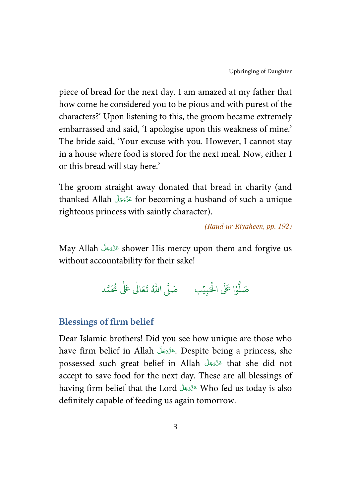piece of bread for the next day. I am amazed at my father that how come he considered you to be pious and with purest of the characters?' Upon listening to this, the groom became extremely embarrassed and said, 'I apologise upon this weakness of mine.' The bride said, 'Your excuse with you. However, I cannot stay in a house where food is stored for the next meal. Now, either I or this bread will stay here.'

The groom straight away donated that bread in charity (and thanked Allah - - - for becoming a husband of such a unique -righteous princess with saintly character).

(Raud-ur-Riyaheen, pp. 192)

May Allah عَزَّدَجَلَّ shower His mercy upon them and forgive us -without accountability for their sake!

> .<br>وا عَلَى الْح ر<br>ار و<br>أ صَلُّوْا عَلَى الْحَبِيْبِ ۚ صَلَّى اللَّهُ تَعَالَىٰ عَلَىٰ مُحَمَّد ֘ ٰ

### **Blessings of firm belief**

Dear Islamic brothers! Did you see how unique are those who have firm belief in Allah حَزَّدَجَلَ Despite being a princess, she -possessed such great belief in Allah عَزَّوَجَلَّ that she did not -accept to save food for the next day. These are all blessings of having firm belief that the Lord عَزَّدَجَلَ Who fed us today is also -definitely capable of feeding us again tomorrow.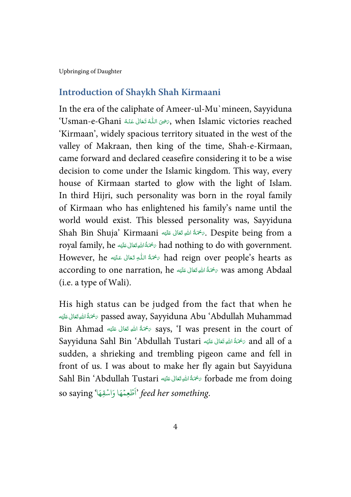### **Introduction of Shaykh Shah Kirmaani**

In the era of the caliphate of Ameer-ul-Mu`mineen, Sayyiduna 'Usman-e-Ghani   )    & -   \* , when Islamic victories reached -í --֦֧֦֧֦֧֦֧֦֧֦֧֦֧ׅׅׅ֪֪ׅ֪֪֪֪֦֪֪֪֪֪֪֪֪֚֚֡֜֓֡֜֡֜֓֡֝֬ j í í 'Kirmaan', widely spacious territory situated in the west of the valley of Makraan, then king of the time, Shah-e-Kirmaan, came forward and declared ceasefire considering it to be a wise decision to come under the Islamic kingdom. This way, every house of Kirmaan started to glow with the light of Islam. In third Hijri, such personality was born in the royal family of Kirmaan who has enlightened his family's name until the world would exist. This blessed personality was, Sayyiduna Shah Bin Shuja' Kirmaani سُخْمَةُ اللهِ تَعَالى عَلَيْهِ Shah Bin Shuja' Kirmaani أَ ĺ !--ŕ royal family, he سُحْمَةُ اللهِقَعَانِ عَلَيْهِ royal family, he مُسَلَّمَا للهَ وَقَعَانَ Í !--ŕ -However, he ﴿ مَحَمَّةُ اللَّهِ تَعَانَى عَلَيْهِ However, he مَحْمَةً اللَّهِ تَعَانَى عَلَيْه ĺ -ļ --֦ Í !according to one narration, he سُخْمَةُ اللهِ تَعَالَى عَلَيْه according to one narration, he Í : ---(i.e. a type of Wali).

His high status can be judged from the fact that when he ة شَدَّا اللهِ تَعَالَى عَلَيْه $\phi$  passed away, Sayyiduna Abu 'Abdullah Muhammad Í !--ŕ -Bin Ahmad ٱللَّهِ تَعَالَىٰ عَلَيْهِ $\epsilon$  says, 'I was present in the court of ĺ !--ŕ -Sayyiduna Sahl Bin 'Abdullah Tustari حَمَّةُ اللَّهِ تَعَالَى عَلَيْه Sayyiduna Sahl Bin 'Abdullah Tustari Í !--ĺ sudden, a shrieking and trembling pigeon came and fell in front of us. I was about to make her fly again but Sayyiduna Sahl Bin 'Abdullah Tustari حَمَّةُ اللهِ تَعَالى عَلَيْهِ Sahl Bin 'Abdullah Tustari ĺ !--ĺ so saying (أَطْعِمْهَا وَاسْقِهَا ) so saying أَطْعِمْهَا ì ֘ ់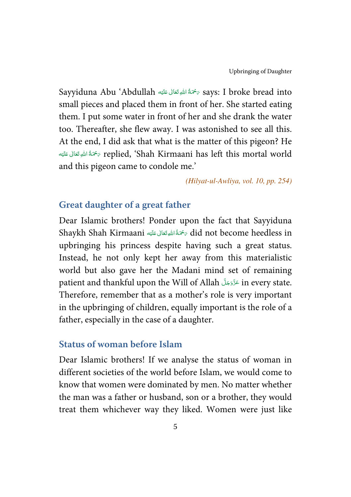Sayyiduna Abu 'Abdullah حَمَّةُ اللهِ تَعَالى عَلَيْهِ Says: I broke bread into Í !--ĺ small pieces and placed them in front of her. She started eating them. I put some water in front of her and she drank the water too. Thereafter, she flew away. I was astonished to see all this. At the end, I did ask that what is the matter of this pigeon? He replied, 'Shah Kirmaani has left this mortal world تهجمةُ اللهِ تَعَالى عَلَيْه Í !--ĺ and this pigeon came to condole me.'

(Hilyat-ul-Awliya, vol. 10, pp. 254)

### **Great daughter of a great father**

Dear Islamic brothers! Ponder upon the fact that Sayyiduna Shaykh Shah Kirmaani سُخْمَةُ اللهِ تَعَالى عَلَيْه Shaykh Shah Kirmaani مَسْمَةُ اللهِ وَ ĺ !--ŕ upbringing his princess despite having such a great status. Instead, he not only kept her away from this materialistic world but also gave her the Madani mind set of remaining patient and thankful upon the Will of Allah عَزَّدَجَلَّ in every state. -Therefore, remember that as a mother's role is very important in the upbringing of children, equally important is the role of a father, especially in the case of a daughter.

### **Status of woman before Islam**

Dear Islamic brothers! If we analyse the status of woman in different societies of the world before Islam, we would come to know that women were dominated by men. No matter whether the man was a father or husband, son or a brother, they would treat them whichever way they liked. Women were just like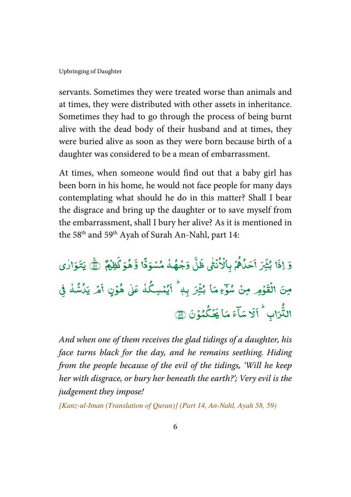servants. Sometimes they were treated worse than animals and at times, they were distributed with other assets in inheritance. Sometimes they had to go through the process of being burnt alive with the dead body of their husband and at times, they were buried alive as soon as they were born because birth of a daughter was considered to be a mean of embarrassment.

At times, when someone would find out that a baby girl has been born in his home, he would not face people for many days contemplating what should he do in this matter? Shall I bear the disgrace and bring up the daughter or to save myself from the embarrassment, shall I bury her alive? As it is mentioned in the 58<sup>th</sup> and 59<sup>th</sup> Ayah of Surah An-Nahl, part 14:

وَإِذَا ļ اِذَا بُثْيَرَ ں<br>• بُثِّيْرَ أَحَلُّهُمْ , و ر<br>ځای ֧֦֧֝<sup>֚</sup> أَحَدُّهُمُّ بِأَلَاُنْشَى ٰ ំ Į بِٱلْأ ់ لة<br>أ ڵٙ  $\ddot{\cdot}$ ظَّلِّ وَجُهُمْ مُسْوَدًّا وَجْهُدُ مُسْوَدًّا = ؚ<br>؛ **رَّ هُوَ كَظِيْمٌ** ; هُوَكَٰظِيۡمٌ ۞ يَتَـوَارٰى مِنَ الْقَوْمِر مِنْ سُوَّءِمَا بُثْيْرَ ֦֧ ໍ່ ں<br>: بُثْيَرَ بِهٖ ۚ ٱيُمۡسِكُٰهُ -= و و<br>يمسِگُ ֧֘  $\overline{\mathbf{a}}$ .<br>اَيُمۡسِكُٰٰذُ عَلٰی هُوۡنٍ اَمۡـ ٰ ļ ֦֧֦ أَهْر يَلُاشْهْ = ي<br>يَدُسُّهُ في -T .<br>د البا - $\hat{\tilde{\mu}_{\rm c}}$ الثُّرَ $\tilde{\mu}$ لاً اَلَا  $\overline{\cdot}$ .<br>لَا سَآءَ مَا يَحْكُمُوْ ؚ<br>ۣ ئى  $\overline{a}$  $\overline{\phantom{a}}$ يَحْكُمُوْنَ ١

And when one of them receives the glad tidings of a daughter, his face turns black for the day, and he remains seething. Hiding from the people because of the evil of the tidings, 'Will he keep her with disgrace, or bury her beneath the earth?'; Very evil is the judgement they impose!

[Kanz-ul-Iman (Translation of Quran)] (Part 14, An-Nahl, Ayah 58, 59)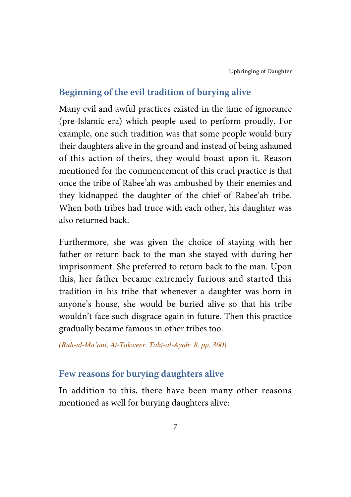# **Beginning of the evil tradition of burying alive**

Many evil and awful practices existed in the time of ignorance (pre-Islamic era) which people used to perform proudly. For example, one such tradition was that some people would bury their daughters alive in the ground and instead of being ashamed of this action of theirs, they would boast upon it. Reason mentioned for the commencement of this cruel practice is that once the tribe of Rabee'ah was ambushed by their enemies and they kidnapped the daughter of the chief of Rabee'ah tribe. When both tribes had truce with each other, his daughter was also returned back.

Furthermore, she was given the choice of staying with her father or return back to the man she stayed with during her imprisonment. She preferred to return back to the man. Upon this, her father became extremely furious and started this tradition in his tribe that whenever a daughter was born in anyone's house, she would be buried alive so that his tribe wouldn't face such disgrace again in future. Then this practice gradually became famous in other tribes too.

(Ruh-ul-Ma'ani, At-Takweer, Taht-al-Ayah: 8, pp. 360)

# **Few reasons for burying daughters alive**

In addition to this, there have been many other reasons mentioned as well for burying daughters alive: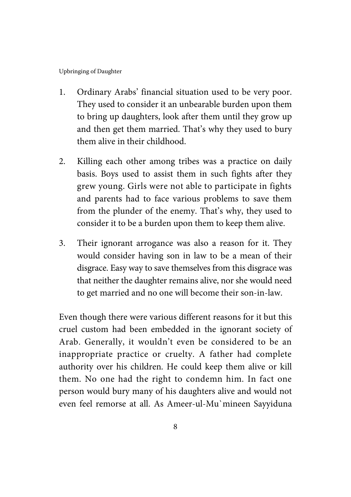- 1. Ordinary Arabs' financial situation used to be very poor. They used to consider it an unbearable burden upon them to bring up daughters, look after them until they grow up and then get them married. That's why they used to bury them alive in their childhood.
- 2. Killing each other among tribes was a practice on daily basis. Boys used to assist them in such fights after they grew young. Girls were not able to participate in fights and parents had to face various problems to save them from the plunder of the enemy. That's why, they used to consider it to be a burden upon them to keep them alive.
- 3. Their ignorant arrogance was also a reason for it. They would consider having son in law to be a mean of their disgrace. Easy way to save themselves from this disgrace was that neither the daughter remains alive, nor she would need to get married and no one will become their son-in-law.

Even though there were various different reasons for it but this cruel custom had been embedded in the ignorant society of Arab. Generally, it wouldn't even be considered to be an inappropriate practice or cruelty. A father had complete authority over his children. He could keep them alive or kill them. No one had the right to condemn him. In fact one person would bury many of his daughters alive and would not even feel remorse at all. As Ameer-ul-Mu`mineen Sayyiduna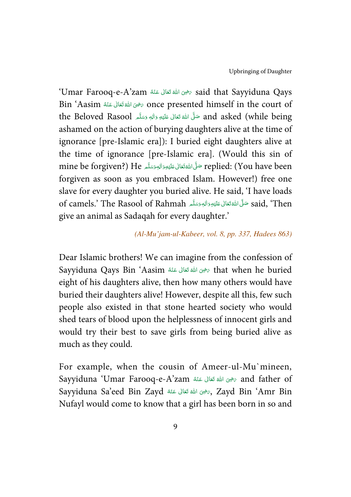'Umar Farooq-e-A'zam -   (  ) &   \* said that Sayyiduna Qays ć --ć ś Bin 'Aasim حَضِى اللهُ تَعَالَى عَنْهُ Bin 'Aasim ć --֘֒ í the Beloved Rasool حَلَّى الله تَعَانى عَلَيْهِ وَاللهِ وَسَلَّم the Beloved Rasool مَتَّلَّم اللهَ عَلَيْهِ وَ -Í !--ć -ashamed on the action of burying daughters alive at the time of ignorance [pre-Islamic era]): I buried eight daughters alive at the time of ignorance [pre-Islamic era]. (Would this sin of mine be forgiven?) He حَلَّىَاللَّهُ تَعَانَى عَلَيْهِ وَالِهٖ وَسَلَّم mine be forgiven?) He ć -Í !---forgiven as soon as you embraced Islam. However!) free one slave for every daughter you buried alive. He said, 'I have loads of camels.' The Rasool of Rahmah حَلَّى اللَّهُ تَعَالى عَلَيْهِ وَالِهِمْتِكَّرِ (aid, 'Then -Í !--ć <u>:</u> -give an animal as Sadaqah for every daughter.'

#### (Al-Mu'jam-ul-Kabeer, vol. 8, pp. 337, Hadees 863)

Dear Islamic brothers! We can imagine from the confession of Sayyiduna Qays Bin 'Aasim حَرْمَى اللهُ تَعَانَى عَنْهُ Sayyiduna Qays Bin 'Aasim ĺ --֖֖֖֧֦֧֦֧֦֧֦֧ׅׅׅ֧ׅ֧ׅׅ֪֪ׅ֚֚֚֚֡֜֡֜֝֬֜֜֡֓֞֡֡֝֬ ś eight of his daughters alive, then how many others would have buried their daughters alive! However, despite all this, few such people also existed in that stone hearted society who would shed tears of blood upon the helplessness of innocent girls and would try their best to save girls from being buried alive as much as they could.

For example, when the cousin of Ameer-ul-Mu`mineen, Sayyiduna 'Umar Farooq-e-A'zam صحيحى الله قتالى عَنْه Sayyiduna 'Umar Farooq-e-A'zam ź --ׇ֘֒ ŕ Sayyiduna Sa'eed Bin Zayd حَرْثَ اللهُ تَعَالَى عَنْهُ Sayyiduna Sa'eed Bin Zayd ć --֦֦֧֦֧֦֧֦֧֦֧֦֧ׅ֦֧ׅ֪֪ׅ֦֧ׅ֚֚֡֝֬֜֓֡֬֜֓֡֓֞֬֜֓֡֬ í Nufayl would come to know that a girl has been born in so and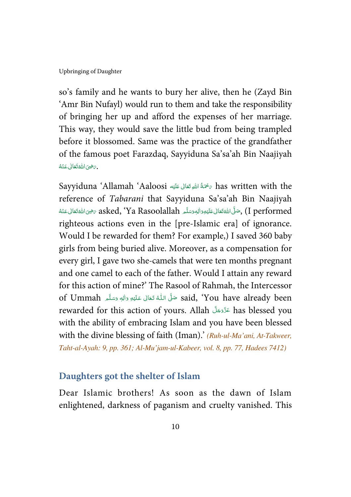so's family and he wants to bury her alive, then he (Zayd Bin 'Amr Bin Nufayl) would run to them and take the responsibility of bringing her up and afford the expenses of her marriage. This way, they would save the little bud from being trampled before it blossomed. Same was the practice of the grandfather of the famous poet Farazdaq, Sayyiduna Sa'sa'ah Bin Naajiyah -. يَضِيَ اللَّهُ تَعَالَى عَنْهُ ć --֘֒ í

Sayyiduna 'Allamah 'Aaloosi سَمَّةُ اللَّهِ تَعَالَى عَلَيْهِ Sayyiduna 'Allamah 'Aaloosi Í !--reference of Tabarani that Sayyiduna Sa'sa'ah Bin Naajiyah -قَال مَا يَا اللهُ تَعَالَى عَلَيْهِ وَاللهِ وَسَلَّمِ Ya Rasoolallah مِنْ مِيَ اللهُ تَعَالَى عَنْهُ  $\zeta$  performed ć --֘֒ í j !--ć -righteous actions even in the [pre-Islamic era] of ignorance. Would I be rewarded for them? For example,) I saved 360 baby girls from being buried alive. Moreover, as a compensation for every girl, I gave two she-camels that were ten months pregnant and one camel to each of the father. Would I attain any reward for this action of mine?' The Rasool of Rahmah, the Intercessor of Ummah حَلَّى اللَّهُ تَعَالَى عَلَيْهِ وَاللهٖ وَسَلَّم of Ummah مَثَّل مَلْيُهِ وَاللهٖ وَسَلَّم í --֦ j ĺ -rewarded for this action of yours. Allah عَزَّوَجَلَّ has blessed you -with the ability of embracing Islam and you have been blessed with the divine blessing of faith (Iman).' (Ruh-ul-Ma'ani, At-Takweer, Taht-al-Ayah: 9, pp. 361; Al-Mu'jam-ul-Kabeer, vol. 8, pp. 77, Hadees 7412)

#### **Daughters got the shelter of Islam**

Dear Islamic brothers! As soon as the dawn of Islam enlightened, darkness of paganism and cruelty vanished. This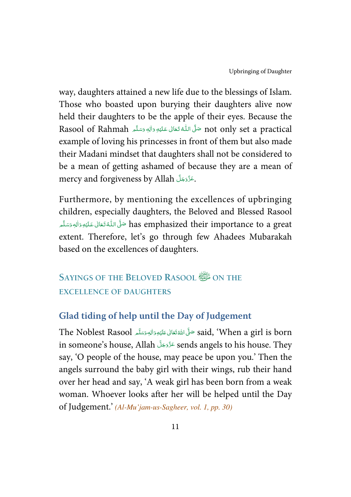way, daughters attained a new life due to the blessings of Islam. Those who boasted upon burying their daughters alive now held their daughters to be the apple of their eyes. Because the Rasool of Rahmah حَلَّى اللّهُ تَعَالى عَلَيْهِ وَالِهٖ وَسَلَّم Rasool of Rahmah í --֦֘ j ĺ -example of loving his princesses in front of them but also made their Madani mindset that daughters shall not be considered to be a mean of getting ashamed of because they are a mean of mercy and forgiveness by Allah حَدَّدَجَلَّ --

Furthermore, by mentioning the excellences of upbringing children, especially daughters, the Beloved and Blessed Rasool فَيٍّ اللَّهُ تَعَالَى عَلَيْهِ وَالِهٖ وَسَلَّمَ has emphasized their importance to a great í --֦ J -Í -extent. Therefore, let's go through few Ahadees Mubarakah based on the excellences of daughters.

# **SAYINGS OF THE BELOVED RASOOL ON THE EXCELLENCE OF DAUGHTERS**

# **Glad tiding of help until the Day of Judgement**

The Noblest Rasool حَلَّى اللَّهُ تَعَالى عَلَيْهِ وَالِهٖ وَسَلَّم The Noblest Rasool وَاللَّهِ وَسَلَّمَ -Í !--ć -in someone's house, Allah عَزَّدَجَلَّ sends angels to his house. They -say, 'O people of the house, may peace be upon you.' Then the angels surround the baby girl with their wings, rub their hand over her head and say, 'A weak girl has been born from a weak woman. Whoever looks after her will be helped until the Day of Judgement.' (Al-Mu'jam-us-Sagheer, vol. 1, pp. 30)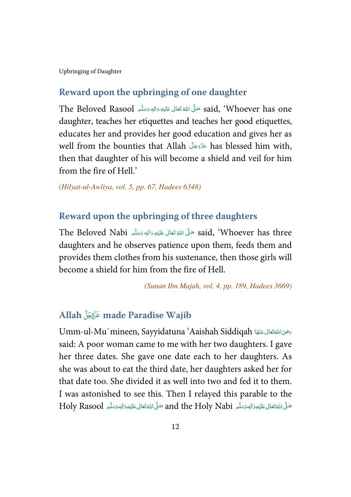### **Reward upon the upbringing of one daughter**

The Beloved Rasool حَلَّى اللَّهُ تَعَالَى عَلَيْهِ وَالْهِ وَسَلَّم The Beloved Rasool حَلَّى اللَّهُ تَعَالَ ĺ : -ć -daughter, teaches her etiquettes and teaches her good etiquettes, educates her and provides her good education and gives her as well from the bounties that Allah عَدَّدَجَلَ has blessed him with, -then that daughter of his will become a shield and veil for him from the fire of Hell.'

(Hilyat-ul-Awliya, vol. 5, pp. 67, Hadees 6348)

#### **Reward upon the upbringing of three daughters**

 $\,$ The Beloved Nabi حَلَّى اللهُ تَعَالَى عَلَيْهِ وَاللهِ وَسَلَّم  $\,$  said, 'Whoever has three ĺ !--ć -daughters and he observes patience upon them, feeds them and provides them clothes from his sustenance, then those girls will become a shield for him from the fire of Hell.

(Sunan Ibn Majah, vol. 4, pp. 189, Hadees 3669)

# **Allah made Paradise Wajib**

Umm-ul-Mu`mineen, Sayyidatuna 'Aaishah Siddiqah كَتَفِيًا Umm-ul-Mu`mineen, Sayyidatuna ŕ -ć -said: A poor woman came to me with her two daughters. I gave her three dates. She gave one date each to her daughters. As she was about to eat the third date, her daughters asked her for that date too. She divided it as well into two and fed it to them. I was astonished to see this. Then I relayed this parable to the  $\rm{Holy \; Rasool}$  مَلْىَ اللَّهُ تَعَالَى عَلَيْهِ وَالْهِ وَسَلَّم  $\rm{and \; the \;Holy \;Nabi}$  مَلْى اللَّهُ تَعَالَى عَلَيْهِ وَالْ ĺ !--ć ---Í !--ć --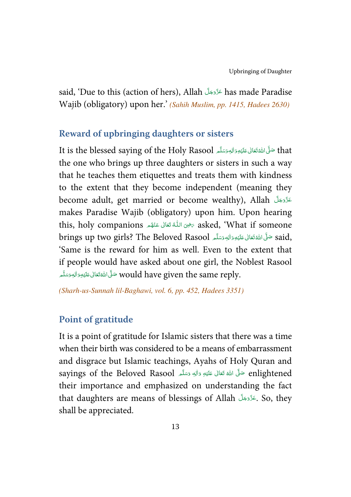said, 'Due to this (action of hers), Allah عَرَّوَجَلَّ has made Paradise --Wajib (obligatory) upon her.' (Sahih Muslim, pp. 1415, Hadees 2630)

#### **Reward of upbringing daughters or sisters**

It is the blessed saying of the Holy Rasool حَلَّىَ اللَّهُ تَعَانَى عَلَيْهِ وَاللهِ وَسَلَّم مَا It -Í !--ć -the one who brings up three daughters or sisters in such a way that he teaches them etiquettes and treats them with kindness to the extent that they become independent (meaning they become adult, get married or become wealthy), Allah عَزَّدَ بَكَ ا -makes Paradise Wajib (obligatory) upon him. Upon hearing this, holy companions حَضِ اللَّهُ تَعَالَى عَنْهُم asked, 'What if someone -í ĺ -ś brings up two girls? The Beloved Rasool حَلَّىَ اللَّهُ تَعَالَىٰ عَلَيْهِ وَاللهِ وَسَلَّم الْقَائِمَا وَالله -Í !--ć --'Same is the reward for him as well. Even to the extent that if people would have asked about one girl, the Noblest Rasool would have given the same reply. حَلَّى اللَّهْ تَعَالى عَلَيْهِ وَالِهٖ وَسَلَّم -Í : -ź --

(Sharh-us-Sunnah lil-Baghawi, vol. 6, pp. 452, Hadees 3351)

#### **Point of gratitude**

It is a point of gratitude for Islamic sisters that there was a time when their birth was considered to be a means of embarrassment and disgrace but Islamic teachings, Ayahs of Holy Quran and sayings of the Beloved Rasool حَلَّ اللهُ تَعَالَى عَلَيْهِ وَاللهِ وَسَلَّم sayings of the Beloved Rasool -Í !--ć -their importance and emphasized on understanding the fact that daughters are means of blessings of Allah ِعَدَّدَجَلَ So, they -shall be appreciated.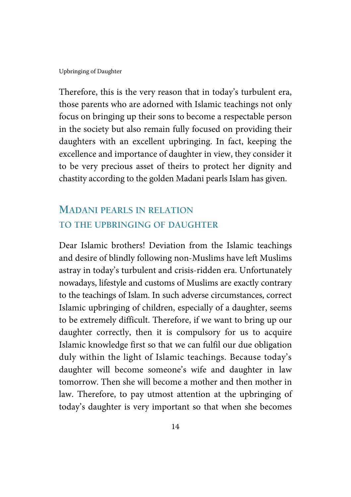Therefore, this is the very reason that in today's turbulent era, those parents who are adorned with Islamic teachings not only focus on bringing up their sons to become a respectable person in the society but also remain fully focused on providing their daughters with an excellent upbringing. In fact, keeping the excellence and importance of daughter in view, they consider it to be very precious asset of theirs to protect her dignity and chastity according to the golden Madani pearls Islam has given.

# **MADANI PEARLS IN RELATION TO THE UPBRINGING OF DAUGHTER**

Dear Islamic brothers! Deviation from the Islamic teachings and desire of blindly following non-Muslims have left Muslims astray in today's turbulent and crisis-ridden era. Unfortunately nowadays, lifestyle and customs of Muslims are exactly contrary to the teachings of Islam. In such adverse circumstances, correct Islamic upbringing of children, especially of a daughter, seems to be extremely difficult. Therefore, if we want to bring up our daughter correctly, then it is compulsory for us to acquire Islamic knowledge first so that we can fulfil our due obligation duly within the light of Islamic teachings. Because today's daughter will become someone's wife and daughter in law tomorrow. Then she will become a mother and then mother in law. Therefore, to pay utmost attention at the upbringing of today's daughter is very important so that when she becomes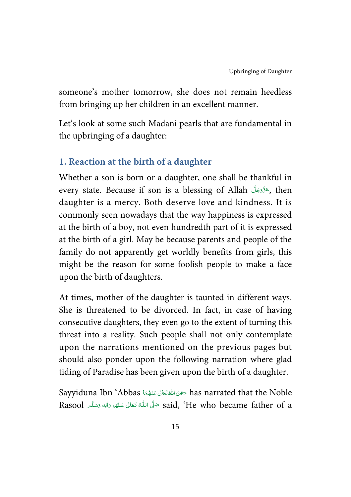someone's mother tomorrow, she does not remain heedless from bringing up her children in an excellent manner.

Let's look at some such Madani pearls that are fundamental in the upbringing of a daughter:

### **1. Reaction at the birth of a daughter**

Whether a son is born or a daughter, one shall be thankful in every state. Because if son is a blessing of Allah بحَدَّدَجَلَ , then -daughter is a mercy. Both deserve love and kindness. It is commonly seen nowadays that the way happiness is expressed at the birth of a boy, not even hundredth part of it is expressed at the birth of a girl. May be because parents and people of the family do not apparently get worldly benefits from girls, this might be the reason for some foolish people to make a face upon the birth of daughters.

At times, mother of the daughter is taunted in different ways. She is threatened to be divorced. In fact, in case of having consecutive daughters, they even go to the extent of turning this threat into a reality. Such people shall not only contemplate upon the narrations mentioned on the previous pages but should also ponder upon the following narration where glad tiding of Paradise has been given upon the birth of a daughter.

Sayyiduna Ibn 'Abbas حَضِىَ اللَّهَ تَعَالَى عَنْهُمَا Sayyiduna Ibn 'Abbas حَضِيمًا ć --֖֖֦֧֦֧֦֧֦֧ׅׅׅ֧ׅ֧ׅׅׅ֧ׅׅ֚֚֚֚֡֝֜֡֜֝֬֜֜֡֜֝֬֜֡֡֬ í ĺ -Rasool حَلَّى اللَّهُ تَعَالَى عَلَيْهِ وَالِهٖ وَسَلَّم Rasool حَلَّى اللَّهُ تَعَالَى عَلَيْهِ وَالِهٖ وَسَلَّم ŕ --֘֒ j -Í --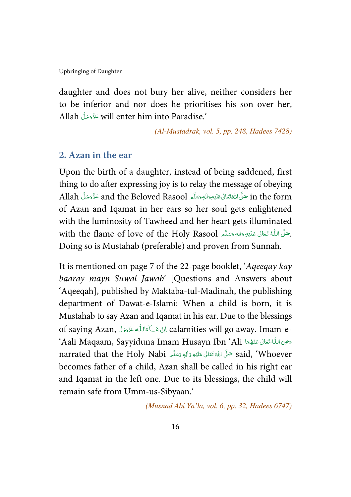daughter and does not bury her alive, neither considers her to be inferior and nor does he prioritises his son over her, Allah عَزَّدَجَلَّ will enter him into Paradise.' --

(Al-Mustadrak, vol. 5, pp. 248, Hadees 7428)

#### **2. Azan in the ear**

Upon the birth of a daughter, instead of being saddened, first thing to do after expressing joy is to relay the message of obeying Allah سَلَّى اللَّهَ تَعَالى عَلَيْهِ وَاللهِ وَسَلَّم Allah عَذَّدَجَلَّ Allah عَنَّدَ عَلَّا Allah ---Í !--ć -of Azan and Iqamat in her ears so her soul gets enlightened with the luminosity of Tawheed and her heart gets illuminated with the flame of love of the Holy Rasool حَلَّى اللَّهُ تَعَالَىٰ عَلَيْهِ وَالِهِ وَسَلَّمِ í --֦ J -Í --Doing so is Mustahab (preferable) and proven from Sunnah.

It is mentioned on page 7 of the 22-page booklet, 'Aqeeqay kay baaray mayn Suwal Jawab' [Questions and Answers about 'Aqeeqah], published by Maktaba-tul-Madinah, the publishing department of Dawat-e-Islami: When a child is born, it is Mustahab to say Azan and Iqamat in his ear. Due to the blessings of saying Azan, كَ اللّٰه عَزَدِهَا calamities will go away. Imam-e---Í --'Aali Maqaam, Sayyiduna Imam Husayn Ibn 'Ali شَرْحَة السَّلْةُ تَعَالَى عَنْهُمَا أَبْلَاهُ الْكَلَاء ---ŕ j narrated that the Holy Nabi سَلَّىَ اللَّهُ تَعَالَى عَلَيْهِ وَالَهِ وَسَلَّم الْعَامَ narrated that the Holy -Í !--ć -becomes father of a child, Azan shall be called in his right ear and Iqamat in the left one. Due to its blessings, the child will remain safe from Umm-us-Sibyaan.'

(Musnad Abi Ya'la, vol. 6, pp. 32, Hadees 6747)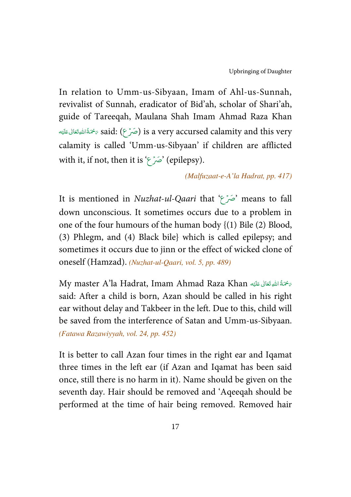In relation to Umm-us-Sibyaan, Imam of Ahl-us-Sunnah, revivalist of Sunnah, eradicator of Bid'ah, scholar of Shari'ah, guide of Tareeqah, Maulana Shah Imam Ahmad Raza Khan نَ said: (صَرۡعِ) is a very accursed calamity and this very Í !--ŕ calamity is called 'Umm-us-Sibyaan' if children are afflicted with it, if not, then it is 'صَرْع' (epilepsy).

#### (Malfuzaat-e-A'la Hadrat, pp. 417)

It is mentioned in Nuzhat-ul-Qaari that 'صعۡ َ ' means to fall down unconscious. It sometimes occurs due to a problem in one of the four humours of the human body {(1) Bile (2) Blood, (3) Phlegm, and (4) Black bile} which is called epilepsy; and sometimes it occurs due to jinn or the effect of wicked clone of oneself (Hamzad). (Nuzhat-ul-Qaari, vol. 5, pp. 489)

My master A'la Hadrat, Imam Ahmad Raza Khan حَمْةُ اللَّهِ تَعَالَى عَلَيْه Í !--ŕ said: After a child is born, Azan should be called in his right ear without delay and Takbeer in the left. Due to this, child will be saved from the interference of Satan and Umm-us-Sibyaan. (Fatawa Razawiyyah, vol. 24, pp. 452)

It is better to call Azan four times in the right ear and Iqamat three times in the left ear (if Azan and Iqamat has been said once, still there is no harm in it). Name should be given on the seventh day. Hair should be removed and 'Aqeeqah should be performed at the time of hair being removed. Removed hair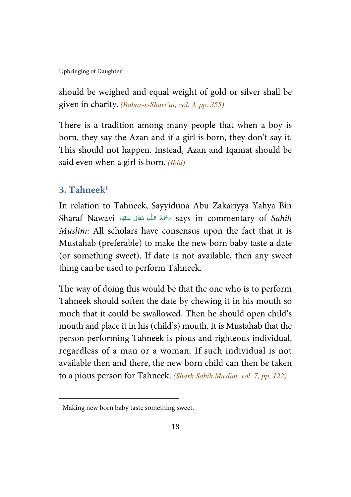should be weighed and equal weight of gold or silver shall be given in charity. (Bahar-e-Shari'at, vol. 3, pp. 355)

There is a tradition among many people that when a boy is born, they say the Azan and if a girl is born, they don't say it. This should not happen. Instead, Azan and Iqamat should be said even when a girl is born. *(Ibid)* 

# **3. Tahneek<sup>1</sup>**

 $\overline{a}$ 

In relation to Tahneek, Sayyiduna Abu Zakariyya Yahya Bin Sharaf Nawavi حَجَّةُ اللَّهِ تَعَالَى عَلَيْهِ Says in commentary of S*ahih* ŕ -ļ --֘֒ Í !-Muslim: All scholars have consensus upon the fact that it is Mustahab (preferable) to make the new born baby taste a date (or something sweet). If date is not available, then any sweet thing can be used to perform Tahneek.

The way of doing this would be that the one who is to perform Tahneek should soften the date by chewing it in his mouth so much that it could be swallowed. Then he should open child's mouth and place it in his (child's) mouth. It is Mustahab that the person performing Tahneek is pious and righteous individual, regardless of a man or a woman. If such individual is not available then and there, the new born child can then be taken to a pious person for Tahneek. (Sharh Sahih Muslim, vol. 7, pp. 122)

<sup>&</sup>lt;sup>1</sup> Making new born baby taste something sweet.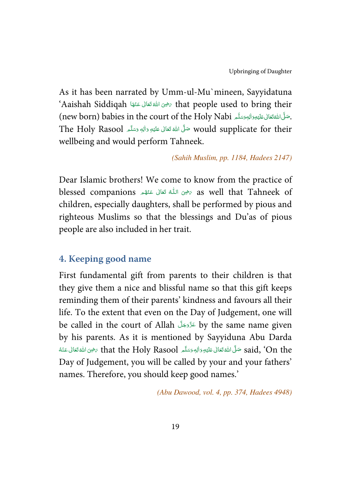As it has been narrated by Umm-ul-Mu`mineen, Sayyidatuna 'Aaishah Siddiqah + \*   -   (  ) & that people used to bring their j -í -mew born) babies in the court of the Holy Nabi مَتَلَى اللَّهِ تَعَالَى عَلَيْهِ وَاللَّهِ وَسَلَّهُ , (new born) -Í !--ć --Would supplicate for their صَلَّى اللهُ تَعَانَى عَلَيْهِ وَاللهِ وَسَلَّم The Holy Rasool ĺ !--ć -wellbeing and would perform Tahneek.

(Sahih Muslim, pp. 1184, Hadees 2147)

Dear Islamic brothers! We come to know from the practice of blessed companions كَمَلْ عَنْهُم blessed companions وَاللَّهُ تَعَالَى عَنْهُم -í ĺ -í children, especially daughters, shall be performed by pious and righteous Muslims so that the blessings and Du'as of pious people are also included in her trait.

#### **4. Keeping good name**

First fundamental gift from parents to their children is that they give them a nice and blissful name so that this gift keeps reminding them of their parents' kindness and favours all their life. To the extent that even on the Day of Judgement, one will be called in the court of Allah - - - by the same name given -by his parents. As it is mentioned by Sayyiduna Abu Darda said, 'On the صَلَّىَ اللَّهَ تَعَالَى عَلَيْهِ وَاللهِ وَسَلَّم لَhat the Holy Rasool حَرْمِىَ اللَّهُ تَعَالَ ć --֖֦֧֦֧֦֧֦֧֦֧ׅׅׅׅ֧ׅ֧ׅׅ֚֚֚֡֜֡֜֓֡֡֡֡֝֬֜֜֓֞֡֡֝֬ ć -Í !--ć --Day of Judgement, you will be called by your and your fathers' names. Therefore, you should keep good names.'

(Abu Dawood, vol. 4, pp. 374, Hadees 4948)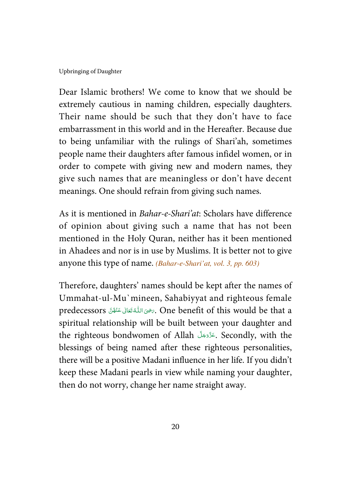Dear Islamic brothers! We come to know that we should be extremely cautious in naming children, especially daughters. Their name should be such that they don't have to face embarrassment in this world and in the Hereafter. Because due to being unfamiliar with the rulings of Shari'ah, sometimes people name their daughters after famous infidel women, or in order to compete with giving new and modern names, they give such names that are meaningless or don't have decent meanings. One should refrain from giving such names.

As it is mentioned in Bahar-e-Shari'at: Scholars have difference of opinion about giving such a name that has not been mentioned in the Holy Quran, neither has it been mentioned in Ahadees and nor is in use by Muslims. It is better not to give anyone this type of name. (Bahar-e-Shari'at, vol. 3, pp. 603)

Therefore, daughters' names should be kept after the names of Ummahat-ul-Mu`mineen, Sahabiyyat and righteous female predecessors كَبَيْنَ اللَّهُ تَعَانَى عَنْفُنَّ predecessors بِمَنْ اللَّهُ تَعَانَى عَنْفُنَّ -j -í spiritual relationship will be built between your daughter and the righteous bondwomen of Allah حَدَّدَجَلَ Secondly, with the -blessings of being named after these righteous personalities, there will be a positive Madani influence in her life. If you didn't keep these Madani pearls in view while naming your daughter, then do not worry, change her name straight away.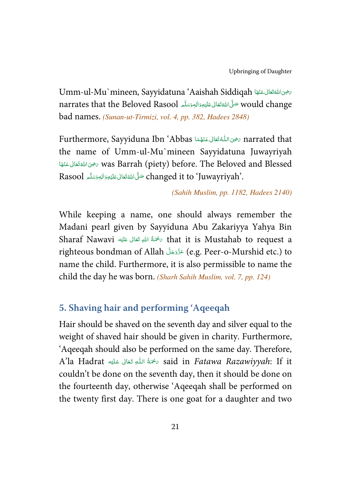Umm-ul-Mu`mineen, Sayyidatuna 'Aaishah Siddiqah كالمحصى الله قفائل عَنْهَا المعاشرة ŕ -ć -narrates that the Beloved Rasool حَلَّىَ اللَّهَ تَعَالَى عَلَيْهِ وَاللهِ وَسَلَّمَ الصَّابَةَ اللهِ وَسَلَّم j !--ć -bad names. (Sunan-ut-Tirmizi, vol. 4, pp. 382, Hadees 2848)

Furthermore, Sayyiduna Ibn 'Abbas سخير اللَّهُ تَعَالى عَنْهُمَا ؟ Furthermore, Sayyiduna Ibn ---í j the name of Umm-ul-Mu`mineen Sayyidatuna Juwayriyah ة was Barrah (piety) before. The Beloved and Blessed مخوى الله تَعَالى عَنْهَا j -ć -- $\rm Rasool$  كَلَى اللَّهَ تَعَالى عَلَيْهِ وَالِهٖوَسَلَّا  $\rm{changed\ it\ to\ 'Juwayriyah'.}$ -Í !--ć --

#### (Sahih Muslim, pp. 1182, Hadees 2140)

While keeping a name, one should always remember the Madani pearl given by Sayyiduna Abu Zakariyya Yahya Bin Sharaf Nawavi ٱلْحَمَّةُ اللهِ تَعَالَى عَلَيْه $\epsilon$  that it is Mustahab to request a Í !--ĺ righteous bondman of Allah - - - (e.g. Peer-o-Murshid etc.) to -name the child. Furthermore, it is also permissible to name the child the day he was born. (Sharh Sahih Muslim, vol. 7, pp. 124)

### **5. Shaving hair and performing 'Aqeeqah**

Hair should be shaved on the seventh day and silver equal to the weight of shaved hair should be given in charity. Furthermore, 'Aqeeqah should also be performed on the same day. Therefore, A'la Hadrat حَمَّةُ اللَّهِ تَعَالَى عَلَيْه said in *Fatawa Razawiyyah*: If it ŕ -ś --֘֒ Í !couldn't be done on the seventh day, then it should be done on the fourteenth day, otherwise 'Aqeeqah shall be performed on the twenty first day. There is one goat for a daughter and two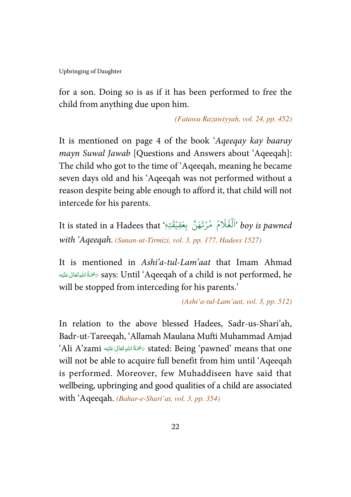for a son. Doing so is as if it has been performed to free the child from anything due upon him.

(Fatawa Razawiyyah, vol. 24, pp. 452)

It is mentioned on page 4 of the book 'Aqeeqay kay baaray mayn Suwal Jawab [Questions and Answers about 'Aqeeqah]: The child who got to the time of 'Aqeeqah, meaning he became seven days old and his 'Aqeeqah was not performed without a reason despite being able enough to afford it, that child will not intercede for his parents.

مُ مُرْتَهَنَّ بِعَقِيْقَتِهٖ ٗIt is stated in a Hadees that ؚ<br>ؙ ֺ<u>֓</u> ُ ُ ر<br>آ % غ ل ُ ہ<br>آ boy is pawned 'اَلْغُلَامُ ۚ مُرْتَهَنَّ بِعَقِيْقَتِهٖ with 'Aqeeqah. (Sunan-ut-Tirmizi, vol. 3, pp. 177, Hadees 1527)

It is mentioned in Ashi'a-tul-Lam'aat that Imam Ahmad نَّمَةُ اللَّهِ تَعَالَى عَلَيْه $\sigma$  says: Until 'Aqeeqah of a child is not performed, he Í !--ĺ will be stopped from interceding for his parents.'

(Ashi'a-tul-Lam'aat, vol. 3, pp. 512)

In relation to the above blessed Hadees, Sadr-us-Shari'ah, Badr-ut-Tareeqah, 'Allamah Maulana Mufti Muhammad Amjad 'Ali A'zami  '  -  (  \$ %-& stated: Being 'pawned' means that one Í !--ĺ will not be able to acquire full benefit from him until 'Aqeeqah is performed. Moreover, few Muhaddiseen have said that wellbeing, upbringing and good qualities of a child are associated with 'Aqeeqah. (Bahar-e-Shari'at, vol. 3, pp. 354)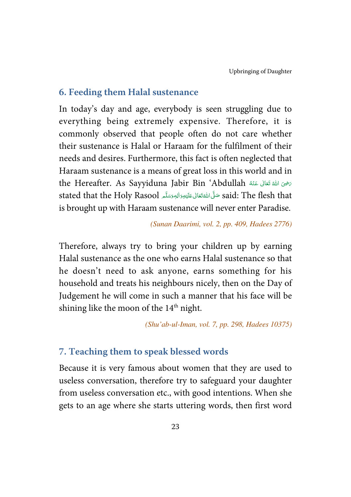#### **6. Feeding them Halal sustenance**

In today's day and age, everybody is seen struggling due to everything being extremely expensive. Therefore, it is commonly observed that people often do not care whether their sustenance is Halal or Haraam for the fulfilment of their needs and desires. Furthermore, this fact is often neglected that Haraam sustenance is a means of great loss in this world and in the Hereafter. As Sayyiduna Jabir Bin 'Abdullah حَضِىَ اللَّهُ قَالَ بِعَثْهُ ć --֖֖֖֦֧֦֧֦֦֧ׅׅ֪ׅ֪֪ׅ֪֪֪֪ׅ֦֚֚֚֚֚֡֝֝֬֜֝֬֜֝֬֝֝֝֬ ć said: The flesh that شَلَّى اللَّهُ تَعَالى عَلَيْهِ وَالِهٖ وَسَلَّم said: The flesh that -Í !--ć -is brought up with Haraam sustenance will never enter Paradise.

#### (Sunan Daarimi, vol. 2, pp. 409, Hadees 2776)

Therefore, always try to bring your children up by earning Halal sustenance as the one who earns Halal sustenance so that he doesn't need to ask anyone, earns something for his household and treats his neighbours nicely, then on the Day of Judgement he will come in such a manner that his face will be shining like the moon of the 14<sup>th</sup> night.

(Shu'ab-ul-Iman, vol. 7, pp. 298, Hadees 10375)

#### **7. Teaching them to speak blessed words**

Because it is very famous about women that they are used to useless conversation, therefore try to safeguard your daughter from useless conversation etc., with good intentions. When she gets to an age where she starts uttering words, then first word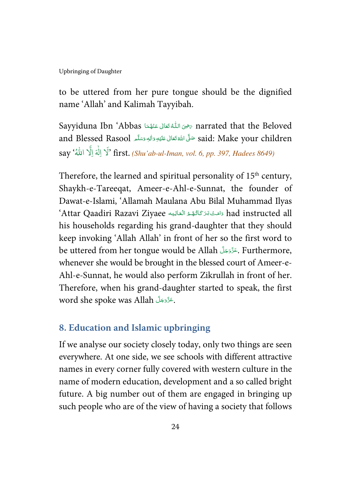to be uttered from her pure tongue should be the dignified name 'Allah' and Kalimah Tayyibah.

Sayyiduna Ibn 'Abbas سَحْيَ اللَّهُ تَعَالَى عَنْهُمَا narrated that the Beloved ---í j and Blessed Rasool حَنَّى اللَّهُ تَعَالَى عَلَيْهِ وَاللَّهِ وَسَلَّمَ and Blessed Rasool Í !--ć --e إِلٰهَ إِلَّا اللهُ say َ #' first. (Shu'ab-ul-Iman, vol. 6, pp. 397, Hadees 8649)

Therefore, the learned and spiritual personality of  $15<sup>th</sup>$  century, Shaykh-e-Tareeqat, Ameer-e-Ahl-e-Sunnat, the founder of Dawat-e-Islami, 'Allamah Maulana Abu Bilal Muhammad Ilyas 'Attar Qaadiri Razavi Ziyaee دَامَتْ بَرَ كَاتُهُمُ الْعَالِيَه ad instructed all j í í Í --his households regarding his grand-daughter that they should keep invoking 'Allah Allah' in front of her so the first word to be uttered from her tongue would be Allah حَزَّدَجَلَّ Furthermore, -whenever she would be brought in the blessed court of Ameer-e-Ahl-e-Sunnat, he would also perform Zikrullah in front of her. Therefore, when his grand-daughter started to speak, the first word she spoke was Allah جَزَّدَجَلَّ --

#### **8. Education and Islamic upbringing**

If we analyse our society closely today, only two things are seen everywhere. At one side, we see schools with different attractive names in every corner fully covered with western culture in the name of modern education, development and a so called bright future. A big number out of them are engaged in bringing up such people who are of the view of having a society that follows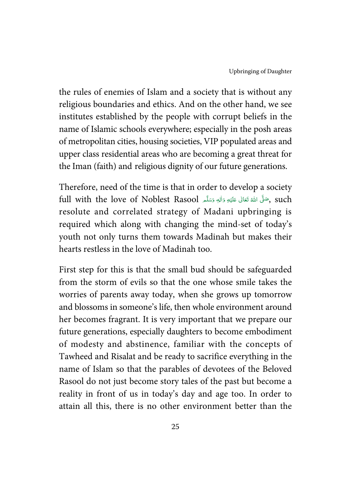the rules of enemies of Islam and a society that is without any religious boundaries and ethics. And on the other hand, we see institutes established by the people with corrupt beliefs in the name of Islamic schools everywhere; especially in the posh areas of metropolitan cities, housing societies, VIP populated areas and upper class residential areas who are becoming a great threat for the Iman (faith) and religious dignity of our future generations.

Therefore, need of the time is that in order to develop a society full with the love of Noblest Rasool حَلَّى اللهُ تَعَالَى عَلَيْهِ وَاللهٖ وَسَلَّم , such -Í !--ĺ -resolute and correlated strategy of Madani upbringing is required which along with changing the mind-set of today's youth not only turns them towards Madinah but makes their hearts restless in the love of Madinah too.

First step for this is that the small bud should be safeguarded from the storm of evils so that the one whose smile takes the worries of parents away today, when she grows up tomorrow and blossoms in someone's life, then whole environment around her becomes fragrant. It is very important that we prepare our future generations, especially daughters to become embodiment of modesty and abstinence, familiar with the concepts of Tawheed and Risalat and be ready to sacrifice everything in the name of Islam so that the parables of devotees of the Beloved Rasool do not just become story tales of the past but become a reality in front of us in today's day and age too. In order to attain all this, there is no other environment better than the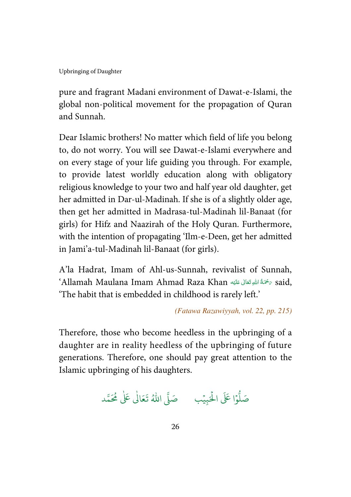pure and fragrant Madani environment of Dawat-e-Islami, the global non-political movement for the propagation of Quran and Sunnah.

Dear Islamic brothers! No matter which field of life you belong to, do not worry. You will see Dawat-e-Islami everywhere and on every stage of your life guiding you through. For example, to provide latest worldly education along with obligatory religious knowledge to your two and half year old daughter, get her admitted in Dar-ul-Madinah. If she is of a slightly older age, then get her admitted in Madrasa-tul-Madinah lil-Banaat (for girls) for Hifz and Naazirah of the Holy Quran. Furthermore, with the intention of propagating 'Ilm-e-Deen, get her admitted in Jami'a-tul-Madinah lil-Banaat (for girls).

A'la Hadrat, Imam of Ahl-us-Sunnah, revivalist of Sunnah, 'Allamah Maulana Imam Ahmad Raza Khan كَمْتُةُ اللهِ تَعَالى عَلَيْهِ  $\epsilon$  said, ŕ -Í !---'The habit that is embedded in childhood is rarely left.'

(Fatawa Razawiyyah, vol. 22, pp. 215)

Therefore, those who become heedless in the upbringing of a daughter are in reality heedless of the upbringing of future generations. Therefore, one should pay great attention to the Islamic upbringing of his daughters.

.<br>وا عَلَى الْحَ ہ<br>ا و<br>ا صَلُّوْا عَلَى الْحَبِيْبِ ۚ صَلَّى اللَّهُ تَعَالَىٰ عَلَىٰ مُحَمَّد ֘ ٰ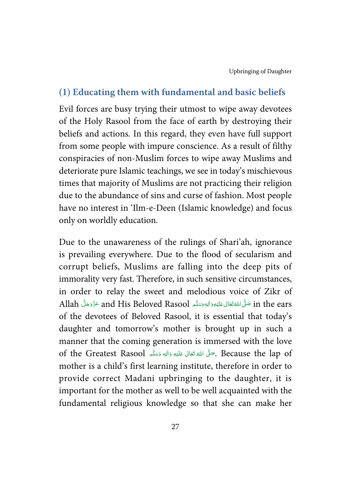#### **(1) Educating them with fundamental and basic beliefs**

Evil forces are busy trying their utmost to wipe away devotees of the Holy Rasool from the face of earth by destroying their beliefs and actions. In this regard, they even have full support from some people with impure conscience. As a result of filthy conspiracies of non-Muslim forces to wipe away Muslims and deteriorate pure Islamic teachings, we see in today's mischievous times that majority of Muslims are not practicing their religion due to the abundance of sins and curse of fashion. Most people have no interest in 'Ilm-e-Deen (Islamic knowledge) and focus only on worldly education.

Due to the unawareness of the rulings of Shari'ah, ignorance is prevailing everywhere. Due to the flood of secularism and corrupt beliefs, Muslims are falling into the deep pits of immorality very fast. Therefore, in such sensitive circumstances, in order to relay the sweet and melodious voice of Zikr of Allah عَزَّدَجَلَّ and His Beloved Rasool عَزَّدَجَلَّ and His Beloved Rasool عَزَّدَجَلَّ ---Í !--ć -of the devotees of Beloved Rasool, it is essential that today's daughter and tomorrow's mother is brought up in such a manner that the coming generation is immersed with the love of the Greatest Rasool حَلَّى اللَّهُ تَعَالَى عَلَيْهِ وَاللهٖ وَسَلَّم Of the Greatest Rasool . -Í !--ć -mother is a child's first learning institute, therefore in order to provide correct Madani upbringing to the daughter, it is important for the mother as well to be well acquainted with the fundamental religious knowledge so that she can make her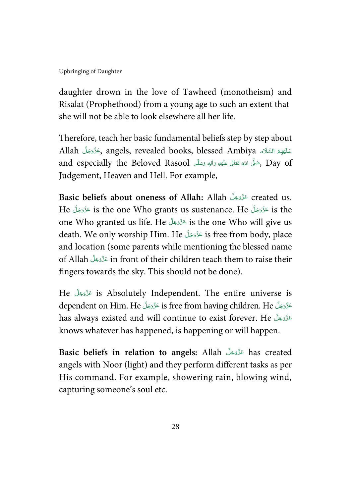daughter drown in the love of Tawheed (monotheism) and Risalat (Prophethood) from a young age to such an extent that she will not be able to look elsewhere all her life.

Therefore, teach her basic fundamental beliefs step by step about Allah كَلَيْهِمْ السَّلَاء , angels, revealed books, blessed Ambiya حَنَّدَجَلَّ Allah ---Í í ĺ !and especially the Beloved Rasool مَسَلَّى اللهُ تَعَالى عَلَيْهِ وَاللهِ وَسَلَّم , Day of -Í !--ć --Judgement, Heaven and Hell. For example,

Basic beliefs about oneness of Allah: Allah عَزَّوَجَلَّ created us. --He عَزَّدَجَلَ is the one Who grants us sustenance. He عَزَّدَجَلَ si the i ---one Who granted us life. He - - - is the one Who will give us -death. We only worship Him. He عَزَّدَجَلَ is free from body, place -and location (some parents while mentioning the blessed name of Allah - - - in front of their children teach them to raise their -fingers towards the sky. This should not be done).

He - - - is Absolutely Independent. The entire universe is -dependent on Him. He عَزَّدَجَلَّ is free from having children. He عَزَّدَجَلَّ ---has always existed and will continue to exist forever. He عَزَّدَجَلَ -knows whatever has happened, is happening or will happen.

Basic beliefs in relation to angels: Allah عَدَّدَجَلَ has created -angels with Noor (light) and they perform different tasks as per His command. For example, showering rain, blowing wind, capturing someone's soul etc.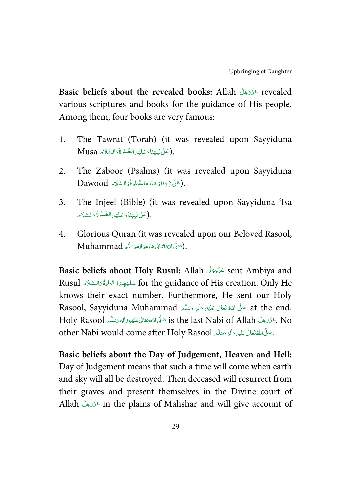**Basic beliefs about the revealed books:** Allah تَذَّدَجَلَّ about the revealed books: Allah -various scriptures and books for the guidance of His people. Among them, four books are very famous:

- 1. The Tawrat (Torah) (it was revealed upon Sayyiduna .<br>(عَلَىٰ نَبِيِّنَاوَعَلَيْهِالصَّلْوةُوَالسَّلَام Musa Ś -J í ĺ : --j -֘֒ -
- 2. The Zaboor (Psalms) (it was revealed upon Sayyiduna Dawood فَيَتِيَتَادَعَلَيْهِالصَّلْوةُدَالسَّلَامُ . í -J ĺ ĺ !---i -֘֒ -
- 3. The Injeel (Bible) (it was revealed upon Sayyiduna 'Isa لْعَلٰى نَبِيِّنَاوَعَلَيْهِالصَّلٰوةُوَالسَّلَام Ű -J í ĺ !---j -֘֒ -
- 4. Glorious Quran (it was revealed upon our Beloved Rasool,  $\operatorname{Mu}$ hammad حَبِّى اللهُ تَعَالىٰ عَلَيْهِ وَالِهٖ وَسَلَّم  $).$ -Í !--í --

Basic beliefs about Holy Rusul: Allah عَزَّدَجَلَّ sent Ambiya and --Rusul عَنْيُهِمُ الضَّلْوَةُوَالسَّلَام for the guidance of His creation. Only He j ĺ l í J Í -֦֘ ĺ knows their exact number. Furthermore, He sent our Holy Rasool, Sayyiduna Muhammad حَلَّى اللَّهَ تَعَالَى عَلَيْهِ وَاللهٖ وَسَلَّم Rasool, Sayyiduna Muhammad ć ĺ --Holy Rasool كَذَّوَجَلَّ is the last Nabi of Allah صَلَّىَ اللَّهْ تَعَالى عَلَيْهِ وَالْهٖوَسَلَّم Holy Rasool ĺ !--ć ---other Nabi would come after Holy Rasool حَلَّى اللَّهُ تَعَالى عَلَيْهِ وَاللهِ وَسَلَّمَ -Í !--ć --

**Basic beliefs about the Day of Judgement, Heaven and Hell:** Day of Judgement means that such a time will come when earth and sky will all be destroyed. Then deceased will resurrect from their graves and present themselves in the Divine court of Allah عَزَّدَ in the plains of Mahshar and will give account of --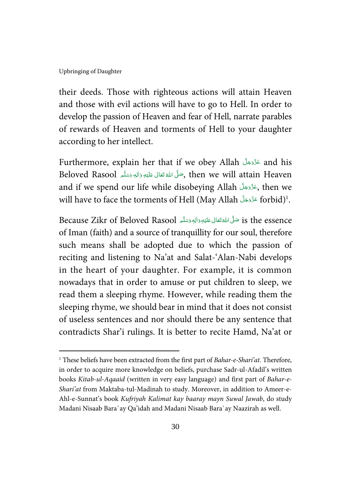l

their deeds. Those with righteous actions will attain Heaven and those with evil actions will have to go to Hell. In order to develop the passion of Heaven and fear of Hell, narrate parables of rewards of Heaven and torments of Hell to your daughter according to her intellect.

Furthermore, explain her that if we obey Allah - - - and his --Beloved Rasool حَلَّ اللَّهَ تَعَالَى عَلَيْهِ دَالِهٖ دَسَلَّم , then we will attain Heaven ĺ !--ć -and if we spend our life while disobeying Allah حَذَّدَجَلَّ then we -will have to face the torments of Hell (May Allah عَزَّدَجَلَّ forbid)<sup>1</sup>. --

Because Zikr of Beloved Rasool حَلَّى اللَّهُ تَعَالى عَلَيْهِ وَاللهِ وَسَلَّم الْمَعْ مَاءَ Because Zikr of Beloved Rasool -Í !--ć -of Iman (faith) and a source of tranquillity for our soul, therefore such means shall be adopted due to which the passion of reciting and listening to Na'at and Salat-'Alan-Nabi develops in the heart of your daughter. For example, it is common nowadays that in order to amuse or put children to sleep, we read them a sleeping rhyme. However, while reading them the sleeping rhyme, we should bear in mind that it does not consist of useless sentences and nor should there be any sentence that contradicts Shar'i rulings. It is better to recite Hamd, Na'at or

<sup>&</sup>lt;sup>1</sup> These beliefs have been extracted from the first part of Bahar-e-Shari'at. Therefore, in order to acquire more knowledge on beliefs, purchase Sadr-ul-Afadil's written books Kitab-ul-Aqaaid (written in very easy language) and first part of Bahar-e-Shari'at from Maktaba-tul-Madinah to study. Moreover, in addition to Ameer-e-Ahl-e-Sunnat's book Kufriyah Kalimat kay baaray mayn Suwal Jawab, do study Madani Nisaab Bara`ay Qa'idah and Madani Nisaab Bara`ay Naazirah as well.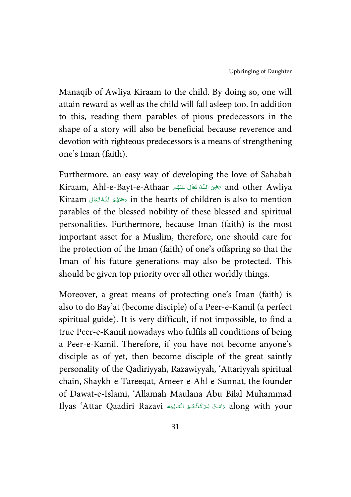Manaqib of Awliya Kiraam to the child. By doing so, one will attain reward as well as the child will fall asleep too. In addition to this, reading them parables of pious predecessors in the shape of a story will also be beneficial because reverence and devotion with righteous predecessors is a means of strengthening one's Iman (faith).

Furthermore, an easy way of developing the love of Sahabah Kiraam, Ahl-e-Bayt-e-Athaar حَضِىَ اللَّهُ تَعَالَى عَنْهُم and other Awliya -í ĺ -í Kiraam مَسْهُمُ اللَّهُ تَعَالَى  $\epsilon$  in the hearts of children is also to mention í í parables of the blessed nobility of these blessed and spiritual personalities. Furthermore, because Iman (faith) is the most important asset for a Muslim, therefore, one should care for the protection of the Iman (faith) of one's offspring so that the Iman of his future generations may also be protected. This should be given top priority over all other worldly things.

Moreover, a great means of protecting one's Iman (faith) is also to do Bay'at (become disciple) of a Peer-e-Kamil (a perfect spiritual guide). It is very difficult, if not impossible, to find a true Peer-e-Kamil nowadays who fulfils all conditions of being a Peer-e-Kamil. Therefore, if you have not become anyone's disciple as of yet, then become disciple of the great saintly personality of the Qadiriyyah, Razawiyyah, 'Attariyyah spiritual chain, Shaykh-e-Tareeqat, Ameer-e-Ahl-e-Sunnat, the founder of Dawat-e-Islami, 'Allamah Maulana Abu Bilal Muhammad Ilyas 'Attar Qaadiri Razavi دَامَتْ بَرَكَاتُهُمُ الْعَالِيَه , Ilyas 'Attar Qaadiri Razavi Í ----j í í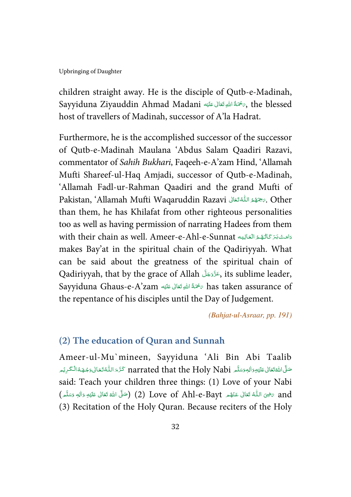children straight away. He is the disciple of Qutb-e-Madinah, Sayyiduna Ziyauddin Ahmad Madani سَمْحَةُ اللهِ تَعَالَى عَلَيْهِ Kayyiduna Ziyauddin Ahmad Madani Í !--ŕ host of travellers of Madinah, successor of A'la Hadrat.

Furthermore, he is the accomplished successor of the successor of Qutb-e-Madinah Maulana 'Abdus Salam Qaadiri Razavi, commentator of Sahih Bukhari, Faqeeh-e-A'zam Hind, 'Allamah Mufti Shareef-ul-Haq Amjadi, successor of Qutb-e-Madinah, 'Allamah Fadl-ur-Rahman Qaadiri and the grand Mufti of Pakistan, 'Allamah Mufti Waqaruddin Razavi ستخفؤ الله تَعَالى $\sigma.$  Other í í than them, he has Khilafat from other righteous personalities too as well as having permission of narrating Hadees from them with their chain as well. Ameer-e-Ahl-e-Sunnat دَامَتْ بَرَ كَاتُهُمْ الْعَالِيَه بِهِ الْقَالِيَة بِهِ j í í j --makes Bay'at in the spiritual chain of the Qadiriyyah. What can be said about the greatness of the spiritual chain of Qadiriyyah, that by the grace of Allah حَدَّدَجَلَّ its sublime leader, --Sayyiduna Ghaus-e-A'zam ٱلصَّقَالِ عَلَيْه هَا اللهِ تَعَالَى مَا يَنْ Sayyiduna Ghaus-e-A'zam Í !--ĺ the repentance of his disciples until the Day of Judgement.

(Bahjat-ul-Asraar, pp. 191)

#### **(2) The education of Quran and Sunnah**

Ameer-ul-Mu`mineen, Sayyiduna 'Ali Bin Abi Taalib صَلَّى اللَّهُ تَعَالَى عَلَيْهِ وَالِهٖ وَسَلَّمِ narrated that the Holy Nabi كَرَّمَ اللَّهُ تَعَالَى وَجُهَهُ الْكَرِيْمِ ĺ ŕ ֘֒ å. ---ۡ -Í !--ć -said: Teach your children three things: (1) Love of your Nabi and حضى اللَّهُ تَعَانَى عَنْهُم Love of Ahl-e-Bayt (2) (صَلَّى اللهُ تَعَالَى عَلَيْهِ وَالِهٖ وَسَلَّم ĺ !--ć ----í j -ŕ (3) Recitation of the Holy Quran. Because reciters of the Holy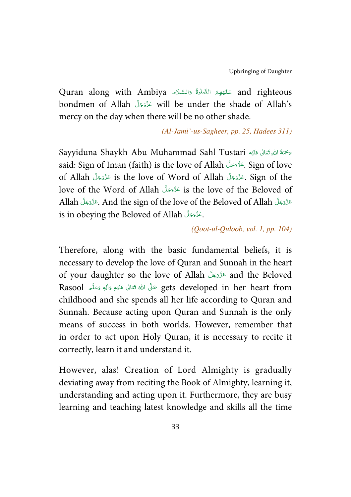Quran along with Ambiya عَلَيْهِمُ الصَّلْوَّةُ وَالسَّلَاْم Quran along with Ambiya j Í l í J í -֦֧ -Ĵ bondmen of Allah - - - will be under the shade of Allah's -mercy on the day when there will be no other shade.

(Al-Jami'-us-Sagheer, pp. 25, Hadees 311)

Sayyiduna Shaykh Abu Muhammad Sahl Tustari حَمْةُ اللهِ تَعَالى عَلَيْه Í !--ŕ said: Sign of Iman (faith) is the love of Allah حَدَّدَجَلَ Sign of love -of Allah تَذَّدَجَلَّ is the love of Word of Allah عَذَّدَجَلَّ of Allah عَزْ ---love of the Word of Allah - - - is the love of the Beloved of --Allah عَزَّدَ And the sign of the love of the Beloved of Allah. عَزَّدَجَلَّ Allah ---is in obeying the Beloved of Allah . عَزَّدَجَلَ --

(Qoot-ul-Quloob, vol. 1, pp. 104)

Therefore, along with the basic fundamental beliefs, it is necessary to develop the love of Quran and Sunnah in the heart of your daughter so the love of Allah - - - and the Beloved --Rasool ٱللَّهُ تَعَالَى عَلَيْهِ وَالِهِ وَسَلَّمَ Asool كَايُو وَاللهِ وَسَلَّمَ -Í !--ć -childhood and she spends all her life according to Quran and Sunnah. Because acting upon Quran and Sunnah is the only means of success in both worlds. However, remember that in order to act upon Holy Quran, it is necessary to recite it correctly, learn it and understand it.

However, alas! Creation of Lord Almighty is gradually deviating away from reciting the Book of Almighty, learning it, understanding and acting upon it. Furthermore, they are busy learning and teaching latest knowledge and skills all the time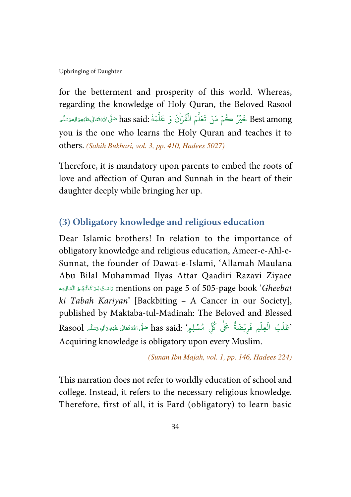for the betterment and prosperity of this world. Whereas, regarding the knowledge of Holy Quran, the Beloved Rasool Best among خَيْرُ حُُمْ مَنْ تَعَلَّمَ الْقُرْاٰنَ وَ عَلَّمَهُ :has said صَلَّىالثَّةِتَعَالىعَنْيْوَالِهِوَسَلَّم ć -Í !----ؚ<br>ؙ ٰ ا ֺ֦֧֝<sup>֓</sup>֓ ر<br>د أ you is the one who learns the Holy Quran and teaches it to others. (Sahih Bukhari, vol. 3, pp. 410, Hadees 5027)

Therefore, it is mandatory upon parents to embed the roots of love and affection of Quran and Sunnah in the heart of their daughter deeply while bringing her up.

#### **(3) Obligatory knowledge and religious education**

Dear Islamic brothers! In relation to the importance of obligatory knowledge and religious education, Ameer-e-Ahl-e-Sunnat, the founder of Dawat-e-Islami, 'Allamah Maulana Abu Bilal Muhammad Ilyas Attar Qaadiri Razavi Ziyaee المَتْ بَرَ كَاتُهُمْ الْعَالِيَه mentions on page 5 of 505-page book '*Gheebat* j ź í Í --ki Tabah Kariyan' [Backbiting – A Cancer in our Society], published by Maktaba-tul-Madinah: The Beloved and Blessed Rasool ٖ    '  -   (  - - #-  " لٍِم' :said has سۡ م ِ ĺ !--ć --ُ ْ ظَلَبُ الْعِلْمِ فَرِيْضَةً عَلَى كُلِّ ٰ ֘ ֧<br>֡֘ ہ<br>آ Acquiring knowledge is obligatory upon every Muslim.

(Sunan Ibn Majah, vol. 1, pp. 146, Hadees 224)

This narration does not refer to worldly education of school and college. Instead, it refers to the necessary religious knowledge. Therefore, first of all, it is Fard (obligatory) to learn basic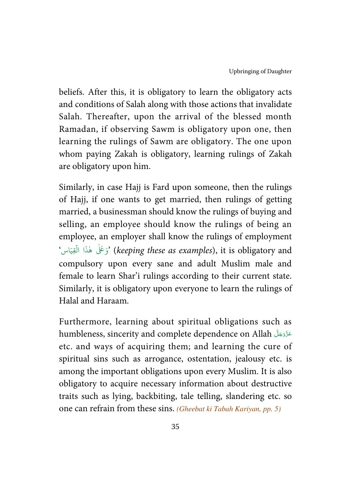beliefs. After this, it is obligatory to learn the obligatory acts and conditions of Salah along with those actions that invalidate Salah. Thereafter, upon the arrival of the blessed month Ramadan, if observing Sawm is obligatory upon one, then learning the rulings of Sawm are obligatory. The one upon whom paying Zakah is obligatory, learning rulings of Zakah are obligatory upon him.

Similarly, in case Hajj is Fard upon someone, then the rulings of Hajj, if one wants to get married, then rulings of getting married, a businessman should know the rulings of buying and selling, an employee should know the rulings of being an employee, an employer shall know the rulings of employment وَعَلَىٰ هٰذَا الْقِيَاسُ' (keeping these as examples), it is obligatory and ֧֧֧֧֧֓֝ ٰ compulsory upon every sane and adult Muslim male and female to learn Shar'i rulings according to their current state. Similarly, it is obligatory upon everyone to learn the rulings of Halal and Haraam.

Furthermore, learning about spiritual obligations such as humbleness, sincerity and complete dependence on Allah عَزَّدَ الله -etc. and ways of acquiring them; and learning the cure of spiritual sins such as arrogance, ostentation, jealousy etc. is among the important obligations upon every Muslim. It is also obligatory to acquire necessary information about destructive traits such as lying, backbiting, tale telling, slandering etc. so one can refrain from these sins. (Gheebat ki Tabah Kariyan, pp. 5)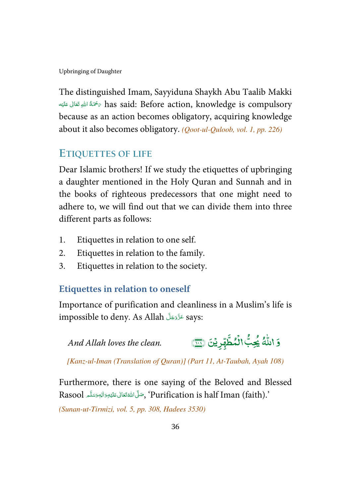The distinguished Imam, Sayyiduna Shaykh Abu Taalib Makki مَحْمَةُ اللهِ تَعَالَى عَلَيْه $\phi$  has said: Before action, knowledge is compulsory ĺ !--ŕ because as an action becomes obligatory, acquiring knowledge about it also becomes obligatory. (Qoot-ul-Quloob, vol. 1, pp. 226)

# **ETIQUETTES OF LIFE**

Dear Islamic brothers! If we study the etiquettes of upbringing a daughter mentioned in the Holy Quran and Sunnah and in the books of righteous predecessors that one might need to adhere to, we will find out that we can divide them into three different parts as follows:

- 1. Etiquettes in relation to one self.
- 2. Etiquettes in relation to the family.
- 3. Etiquettes in relation to the society.

# **Etiquettes in relation to oneself**

Importance of purification and cleanliness in a Muslim's life is impossible to deny. As Allah تَدَّدَجَلَّ says: --

وَ اللّٰهُ يُحِبُّ الْمُطَّهِّرِيْنَ (بَيْنَ) And Allah loves the clean. ٰ و<br>يجِبٌ ڲؚۛ<mark>ؼ</mark>۠ٵڶ**ؙ**ٮۢڟۜۿؚۜڔ -ن<br>س الُمُطَّهِّرِيْنَ <mark>@</mark> ֧֦֓ ֧֓

[Kanz-ul-Iman (Translation of Quran)] (Part 11, At-Taubah, Ayah 108)

Furthermore, there is one saying of the Beloved and Blessed Rasool أَجَمَّلُ اللَّهُ تَعَانَى عَلَيْهِ وَالِهٖ وَسَلَّمَ Rasool بِمَا يَسْتَلِيهِ وَاللَّهِ وَسَلَّمَ ć ĺ --

(Sunan-ut-Tirmizi, vol. 5, pp. 308, Hadees 3530)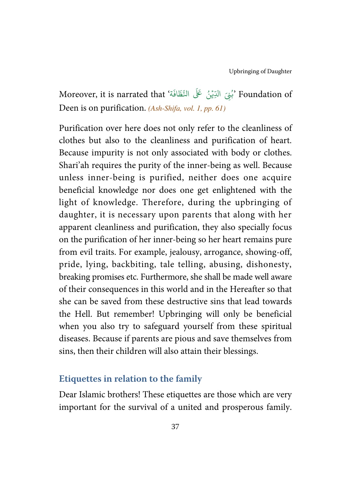Moreover, it is narrated that 'بُنِيَ الدِّيْنُ عَلَى النَّظَافَة' Moreover, it is narrated that َ֧֦֧֦֧֦֧֦֧֦֧֦֧֦֧֦֧֦֧֦֧֦֧֦֧֦֧֦֧֦֧֦֘ ُ Deen is on purification. (Ash-Shifa, vol. 1, pp. 61)

Purification over here does not only refer to the cleanliness of clothes but also to the cleanliness and purification of heart. Because impurity is not only associated with body or clothes. Shari'ah requires the purity of the inner-being as well. Because unless inner-being is purified, neither does one acquire beneficial knowledge nor does one get enlightened with the light of knowledge. Therefore, during the upbringing of daughter, it is necessary upon parents that along with her apparent cleanliness and purification, they also specially focus on the purification of her inner-being so her heart remains pure from evil traits. For example, jealousy, arrogance, showing-off, pride, lying, backbiting, tale telling, abusing, dishonesty, breaking promises etc. Furthermore, she shall be made well aware of their consequences in this world and in the Hereafter so that she can be saved from these destructive sins that lead towards the Hell. But remember! Upbringing will only be beneficial when you also try to safeguard yourself from these spiritual diseases. Because if parents are pious and save themselves from sins, then their children will also attain their blessings.

#### **Etiquettes in relation to the family**

Dear Islamic brothers! These etiquettes are those which are very important for the survival of a united and prosperous family.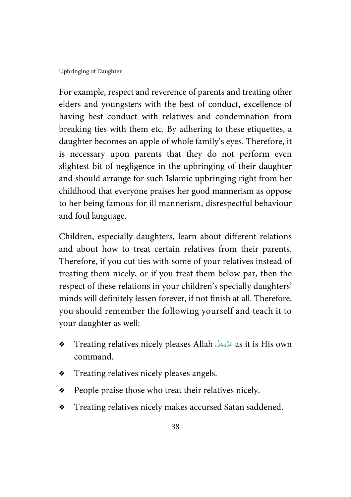For example, respect and reverence of parents and treating other elders and youngsters with the best of conduct, excellence of having best conduct with relatives and condemnation from breaking ties with them etc. By adhering to these etiquettes, a daughter becomes an apple of whole family's eyes. Therefore, it is necessary upon parents that they do not perform even slightest bit of negligence in the upbringing of their daughter and should arrange for such Islamic upbringing right from her childhood that everyone praises her good mannerism as oppose to her being famous for ill mannerism, disrespectful behaviour and foul language.

Children, especially daughters, learn about different relations and about how to treat certain relatives from their parents. Therefore, if you cut ties with some of your relatives instead of treating them nicely, or if you treat them below par, then the respect of these relations in your children's specially daughters' minds will definitely lessen forever, if not finish at all. Therefore, you should remember the following yourself and teach it to your daughter as well:

- $\bullet$  Treating relatives nicely pleases Allah هَدَّدَجَلَ as it is His own -command.
- $\bullet$  Treating relatives nicely pleases angels.
- $\triangleleft$  People praise those who treat their relatives nicely.
- $\bullet$  Treating relatives nicely makes accursed Satan saddened.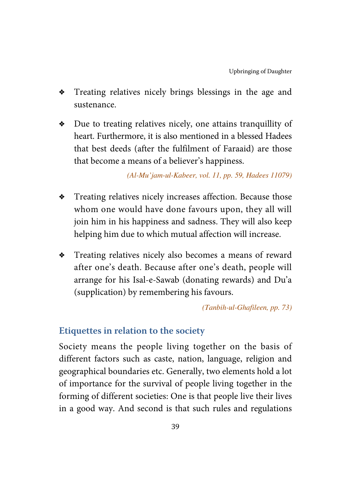- Treating relatives nicely brings blessings in the age and sustenance.
- $\bullet$  Due to treating relatives nicely, one attains tranquillity of heart. Furthermore, it is also mentioned in a blessed Hadees that best deeds (after the fulfilment of Faraaid) are those that become a means of a believer's happiness.

(Al-Mu'jam-ul-Kabeer, vol. 11, pp. 59, Hadees 11079)

- $\bullet$  Treating relatives nicely increases affection. Because those whom one would have done favours upon, they all will join him in his happiness and sadness. They will also keep helping him due to which mutual affection will increase.
- \* Treating relatives nicely also becomes a means of reward after one's death. Because after one's death, people will arrange for his Isal-e-Sawab (donating rewards) and Du'a (supplication) by remembering his favours.

(Tanbih-ul-Ghafileen, pp. 73)

# **Etiquettes in relation to the society**

Society means the people living together on the basis of different factors such as caste, nation, language, religion and geographical boundaries etc. Generally, two elements hold a lot of importance for the survival of people living together in the forming of different societies: One is that people live their lives in a good way. And second is that such rules and regulations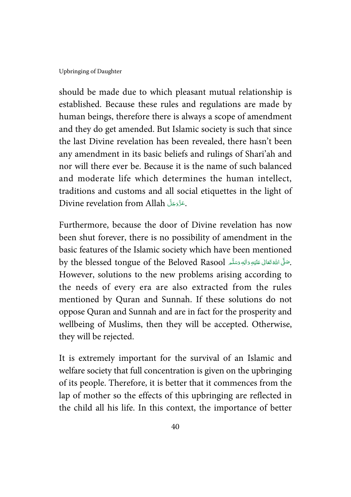should be made due to which pleasant mutual relationship is established. Because these rules and regulations are made by human beings, therefore there is always a scope of amendment and they do get amended. But Islamic society is such that since the last Divine revelation has been revealed, there hasn't been any amendment in its basic beliefs and rulings of Shari'ah and nor will there ever be. Because it is the name of such balanced and moderate life which determines the human intellect, traditions and customs and all social etiquettes in the light of Divine revelation from Allah حَزَّدَجَلَّ Divine --

Furthermore, because the door of Divine revelation has now been shut forever, there is no possibility of amendment in the basic features of the Islamic society which have been mentioned by the blessed tongue of the Beloved Rasool حَلَّى اللهُ تَعَالَى عَلَيْهِ وَاللهِ وَسَلَّمَ ĺ !--ć --However, solutions to the new problems arising according to the needs of every era are also extracted from the rules mentioned by Quran and Sunnah. If these solutions do not oppose Quran and Sunnah and are in fact for the prosperity and wellbeing of Muslims, then they will be accepted. Otherwise, they will be rejected.

It is extremely important for the survival of an Islamic and welfare society that full concentration is given on the upbringing of its people. Therefore, it is better that it commences from the lap of mother so the effects of this upbringing are reflected in the child all his life. In this context, the importance of better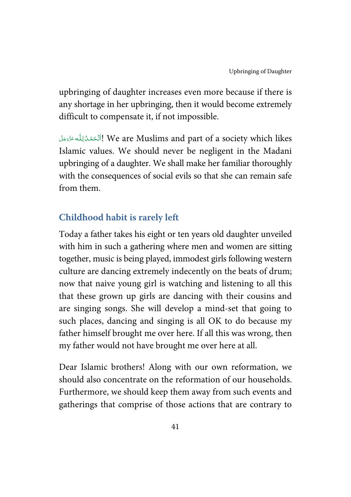upbringing of daughter increases even more because if there is any shortage in her upbringing, then it would become extremely difficult to compensate it, if not impossible.

باآلَحَمْدُلِلُّه عَزَّدَمَاً We are Muslims and part of a society which likes í -Į ć Į --Islamic values. We should never be negligent in the Madani upbringing of a daughter. We shall make her familiar thoroughly with the consequences of social evils so that she can remain safe from them.

# **Childhood habit is rarely left**

Today a father takes his eight or ten years old daughter unveiled with him in such a gathering where men and women are sitting together, music is being played, immodest girls following western culture are dancing extremely indecently on the beats of drum; now that naive young girl is watching and listening to all this that these grown up girls are dancing with their cousins and are singing songs. She will develop a mind-set that going to such places, dancing and singing is all OK to do because my father himself brought me over here. If all this was wrong, then my father would not have brought me over here at all.

Dear Islamic brothers! Along with our own reformation, we should also concentrate on the reformation of our households. Furthermore, we should keep them away from such events and gatherings that comprise of those actions that are contrary to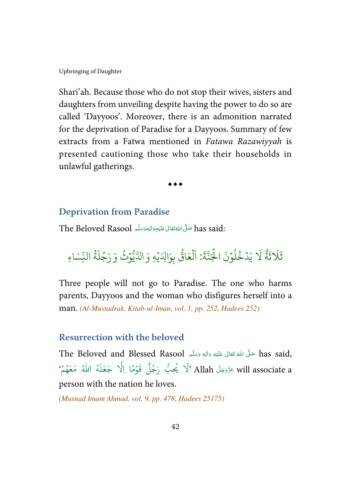Shari'ah. Because those who do not stop their wives, sisters and daughters from unveiling despite having the power to do so are called 'Dayyoos'. Moreover, there is an admonition narrated for the deprivation of Paradise for a Dayyoos. Summary of few extracts from a Fatwa mentioned in Fatawa Razawiyyah is presented cautioning those who take their households in unlawful gatherings.

 $\dots$ 

#### **Deprivation from Paradise**

The Beloved Rasool سَلَّىَ اللَّهْتَعَالَى عَلَيْهِ وَالْبَهِ وَسَلَّم The Beloved Rasool -Í !--ć --

្ច يَدْخُلُوۡنَ الۡجَنَّةَ .<br>أ ؚ<br>ؙ و<br>ا ڔ .<br>ا َ # ٌ ة  $\ddot{\cdot}$ ث ً<br>آ  $\lambda$ ثَلاثَةٌ لَا يَدُخُلُوْنَ الْجَنَّةَ: اَلْعَاقُّ بِوَالِدَيْهِ وَ ُم<br>ا \* َاق ع ل .<br>أ .<br>آ ا ؚ<br>ؙ الدَّيُوۡثُ وَرَجُلَةُ النِّسَاءِ **َ** و ر<br>آ ل ج َ ر و<br>ڪ

Three people will not go to Paradise. The one who harms parents, Dayyoos and the woman who disfigures herself into a man. (Al-Mustadrak, Kitab-ul-Iman, vol. 1, pp. 252, Hadees 252)

#### **Resurrection with the beloved**

The Beloved and Blessed Rasool  $\frac{1}{2}$ ضَّلَ اللَّهُ تَعَالَى عَلَيْهِ وَاللهِ وَسَلَّم  $\,$  has said, -Í !--ź --هُ اللّٰهُ مَعَهُمْ ٗ ؚ<br>ؙ ُ ر<br>آ ل َ ع َ ج يُحِبُّ رَجُلٌ قَوْمًا اِلَّا ؚ<br>ؙ ُ ُ َّذَن<sup>ِ</sup>كَ Allah حَزَّدَ will associate a -person with the nation he loves.

(Musnad Imam Ahmad, vol. 9, pp. 478, Hadees 25175)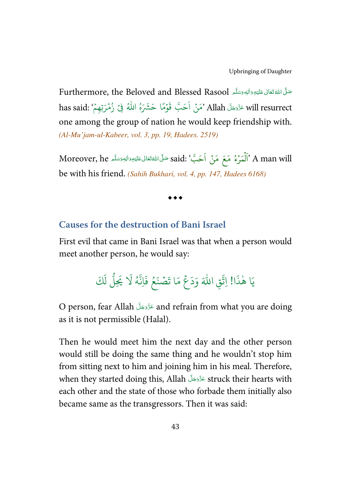Furthermore, the Beloved and Blessed Rasool حَلَّىَ اللَّهُ تَعَانَى عَلَيْهِ وَاللهِ وَسَلَّم ĺ !--ć --.<br>حَبَّ قَوْمًا حَشَرَهُ اللّهُ فِىْ زُمْرَتِهِمْ :has said ؚ<br>ؙ ُ ؚ<br>ؙ will resurrect وَمَنْ اَحَبَّ قَوْمًا حَشَرَهُ اللَّهُ فِيْ زُمْرَتِهِمْ  $\sinh$  resurrect ۡ --one among the group of nation he would keep friendship with. (Al-Mu'jam-ul-Kabeer, vol. 3, pp. 19, Hadees. 2519)

.<br>**كَبَّ' :said صَلَّى** اللَّهْتَعَالَى عَلَيْهِ وَالل<sub>ِّ</sub>وسَلَّم Moreover, he -Í !--ć --ِّ<br>نَّمَرۡءُ مَعَ مَنۡ اَ ُ ֘ ہ<br>آ ل  $\hat{\mathbb{I}}$ ' A man will be with his friend. (Sahih Bukhari, vol. 4, pp. 147, Hadees 6168)

 $\bullet\bullet\bullet$ 

#### **Causes for the destruction of Bani Israel**

First evil that came in Bani Israel was that when a person would meet another person, he would say:

#### ا  $\ddot{\cdot}$ يَا هٰذَا! اِتَّقِ اللّٰهَ وَدَعْ مَا تَصۡنَعُ فَاِنَّهُ لَا يَحِلُّ لَكَ  $\frac{1}{2}$ ا<br>أ ي اِنَّهُ لَا مَا تَصۡنَعُ فَ

O person, fear Allah عَزَّدَجَلَّ and refrain from what you are doing -as it is not permissible (Halal).

Then he would meet him the next day and the other person would still be doing the same thing and he wouldn't stop him from sitting next to him and joining him in his meal. Therefore, when they started doing this, Allah عَزَّوَجَلَ struck their hearts with -each other and the state of those who forbade them initially also became same as the transgressors. Then it was said: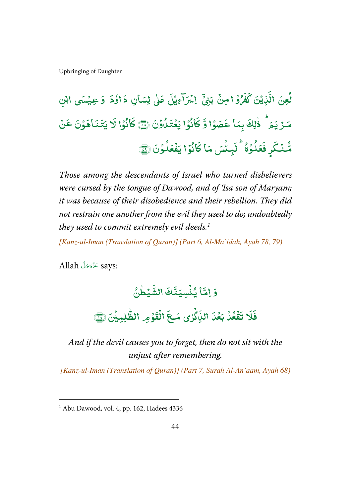#### و<br>لعِنَ لُعِنَ الَّذِينَ ֧֓<sup>֓</sup>֓ الَّذِيۡنَ کَفَرُدۡ  $\overline{\phantom{a}}$ è گَفَرُوۡ ا مِنۡ ِ<br>پ ֧<u>֓</u> بَنِیَّ  $\overline{\cdot}$ اِسْرَآءِيْلَ عَلَىٰ لِسَانِ دَاؤُدَ وَعِيْسَى ابْنِ ֓ ; ٰ י<br>ו = ֓ -<u>ہ</u> مَـرْيَـمَ ֧֦֧֓<sup>֓</sup>֧֓ ذٰلِكَ بِمَا عَصَوۡا وَّ كَانُوۡا يَعۡتَدُٰوۡنَ ﴿ -ٰ ֧֦֘ ֦ j كَانُوْا يَعْتَدُوْنَ ۞ كَانُوْا لَا يَتَنَاهَوْنَ عَنْ  $\overline{\phantom{a}}$ .<br>كَانُوْا لَا ź n ر ֦ يمتكأ ֦֧<sup>֓</sup>֓ مُّنۡكَر**فَعَلُوُكُ** រ و بره<br>ټعک فَعَلُوْلًا ۚ نَبِئۡسَ  $\overline{a}$  $\overline{\cdot}$ لَبِئُسَ مَا كَانُوُ ֧֦֘ J كَانُوۡا يَفۡعَلُوۡ ؚ<br>ۣ و<br>ڊ يَفُعَلُوْنَ ١ ់

Those among the descendants of Israel who turned disbelievers were cursed by the tongue of Dawood, and of 'Isa son of Maryam; it was because of their disobedience and their rebellion. They did not restrain one another from the evil they used to do; undoubtedly they used to commit extremely evil deeds.<sup>1</sup>

[Kanz-ul-Iman (Translation of Quran)] (Part 6, Al-Ma`idah, Ayah 78, 79)

.ays: عَزَّدَجَلَّ Allah --

l

وَ إِمَّا يُنۡسِيَنَّكَ يُنۡسِيَنَّكَ الشَّيۡطُنُ ֦֧֦֧֦֧֦֧֦֧֦֧֦֧֦֧֦֧֦֧֦֧֦֧֦֧֦֧֦֧ ٰ ֓ ă الشَّيْطْنُ

#### $\overline{\phantom{a}}$  $\overline{\cdot}$ ĺ  $\overline{\cdot}$ فَلَا تَقۡعُلۡ بَعۡلَ الذِّكۡرٰى ֓ ្  $\overline{a}$ ٰ ֦֧<sup>֓</sup>֓ .<br>• اللِّاكْرٰى  $\overline{\phantom{a}}$ مَعَ الْقَوْمِ الظّٰلِمِيْنَ ؚ<br>ۣ ֘ ֧<sup>֓</sup>֓ -ٰ الطَّلِبِيِّنَ ۞

And if the devil causes you to forget, then do not sit with the unjust after remembering.

[Kanz-ul-Iman (Translation of Quran)] (Part 7, Surah Al-An'aam, Ayah 68)

<sup>1</sup> Abu Dawood, vol. 4, pp. 162, Hadees 4336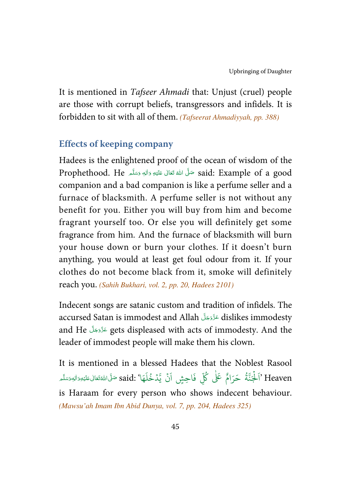It is mentioned in Tafseer Ahmadi that: Unjust (cruel) people are those with corrupt beliefs, transgressors and infidels. It is forbidden to sit with all of them. (*Tafseerat Ahmadiyyah*, *pp.* 388)

#### **Effects of keeping company**

Hadees is the enlightened proof of the ocean of wisdom of the Prophethood. He حَلَّى اللَّهُ تَعَالَى عَلَيْهِ وَالِهٖ وَسَلَّم Prophethood. He ĺ !--ź -companion and a bad companion is like a perfume seller and a furnace of blacksmith. A perfume seller is not without any benefit for you. Either you will buy from him and become fragrant yourself too. Or else you will definitely get some fragrance from him. And the furnace of blacksmith will burn your house down or burn your clothes. If it doesn't burn anything, you would at least get foul odour from it. If your clothes do not become black from it, smoke will definitely reach you. (Sahih Bukhari, vol. 2, pp. 20, Hadees 2101)

Indecent songs are satanic custom and tradition of infidels. The accursed Satan is immodest and Allah عَدَّدَجَلَ dislikes immodesty -and He عَزَّدَجَلَّ aets displeased with acts of immodesty. And the -leader of immodest people will make them his clown.

It is mentioned in a blessed Hadees that the Noblest Rasool يَا' :said صَلَّى اللَّهُ تَعَالٰى عَلَيْهِ وَالِهٖ وَسَلَّم -Í !--ź --ر<br>آ ُنۡ يَّدۡخُلَ ؚ ֧֓<sup>֓</sup>֓ <u>،</u> ً<br>آ لِّ فَاحِشٍ اَ ٍ<br>کا َـلْجَنَّةُ حَرَامٌ عَلٰى كُلِّ ٰ و<br>آم ر<br>آ َ Heaven' ا is Haraam for every person who shows indecent behaviour. (Mawsu'ah Imam Ibn Abid Dunya, vol. 7, pp. 204, Hadees 325)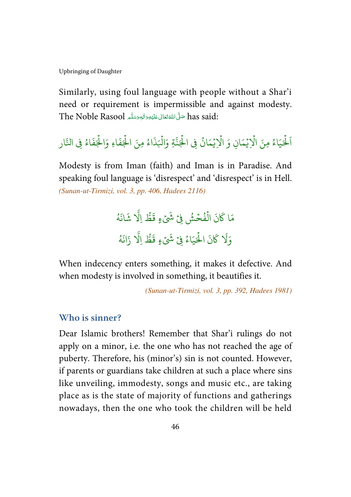Similarly, using foul language with people without a Shar'i need or requirement is impermissible and against modesty.  $\rm The\;Noble\;Rasool$  صَلَّى اللَّهْ تَعَالى عَلَيْهِ وَالْهِ وَسَلَّم  $\rm has\; said:$ -Í !--ć --

#### لْحَيَاءُ مِنَ الْإِيْمَانِ وَ الْإِيْمَانُ فِي الْجُنَّةِ وَالْبَذَاءُ مِ و<br>و ہ<br>آ ہ<br>آ ُ ؚ<br>ۣ ہ<br>1 ؚ<br>ۣ ہ<br>1 و<br>و ہ<br>آ َ اَلْحَيَاءُ مِنَ الْإِيْمَانِ وَ الْإِيْمَانُ فِي الْجَنَّةِ وَالْبَذَاءُ مِنَ الْجَفَاءِ وَالْجَفَاءُ فِي النّار و<br>و ہ<br>آ ہ<br>آ

Modesty is from Iman (faith) and Iman is in Paradise. And speaking foul language is 'disrespect' and 'disrespect' is in Hell. (Sunan-ut-Tirmizi, vol. 3, pp. 406, Hadees 2116)

> نَ الْفُحۡشُ فِىۡ شَىۡءٍ قَطُّ **:** ֧֘ و<br>م ہ<br>آ مَا كَانَ الْفُحْشُ فِيْ شَيْءٍ قَطُّ اِلَّا شَانَهُ و<br>ط َی<br>1 اِلا شَانَهُ ُ ه َ َان ز نَ الْحَيَاءُ فِيْ شَيْءٍ قَطُّ اِلَّا ۡ و<br>و ہ<br>ا َ ك .<br>آ رَلَا

When indecency enters something, it makes it defective. And when modesty is involved in something, it beautifies it.

(Sunan-ut-Tirmizi, vol. 3, pp. 392, Hadees 1981)

#### **Who is sinner?**

Dear Islamic brothers! Remember that Shar'i rulings do not apply on a minor, i.e. the one who has not reached the age of puberty. Therefore, his (minor's) sin is not counted. However, if parents or guardians take children at such a place where sins like unveiling, immodesty, songs and music etc., are taking place as is the state of majority of functions and gatherings nowadays, then the one who took the children will be held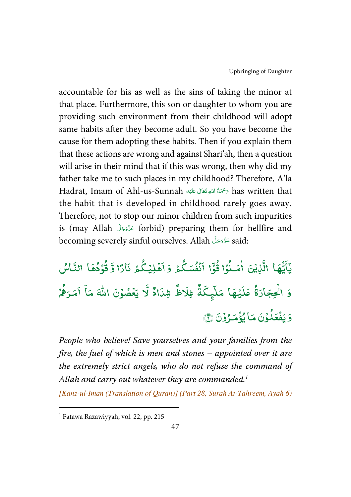accountable for his as well as the sins of taking the minor at that place. Furthermore, this son or daughter to whom you are providing such environment from their childhood will adopt same habits after they become adult. So you have become the cause for them adopting these habits. Then if you explain them that these actions are wrong and against Shari'ah, then a question will arise in their mind that if this was wrong, then why did my father take me to such places in my childhood? Therefore, A'la Hadrat, Imam of Ahl-us-Sunnah سَخْمَةُ اللَّهِ تَعَالَى عَلَيْه has written that Í !--ĺ the habit that is developed in childhood rarely goes away. Therefore, not to stop our minor children from such impurities is (may Allah - - - forbid) preparing them for hellfire and -becoming severely sinful ourselves. Allah عَزَّوَجَلَّ aid: --

ءِ<br>گمڙ رو<br>نفسك ់ l ا ا ِ<br>پ  $\overline{a}$ بة<br>و .<br>ۇا ق è. .<br>نایتن ا**م**َـدُ ٰ <sup>:</sup> :<br>نَهَا الَّا ياء  $\overline{\phantom{a}}$ يَآَيُّهَا الَّذِيۡنَ اٰمَـٰذُوۡا قُوۡٓا اَنۡفُسَكُمۡ وَ اَهۡلِيۡـُكُمۡ نَارًا وَٓ قُوۡدُهَا النَّاسُ ֦֧֦ و <u>ؤ</u> ر<br>كُمُ نَارًا وَّ ؘۿؘڸؽؙۣػ ֓ ֦֧֦֧֦ ۔<br>و ا ? ئم<br>لم ֦ .<br>يُبقا مَلَ<sub>يِ</sub>كَ ֓  $\overline{\cdot}$ عَلَ و وَ اكْحِجَادَةُ عَلَيْهَا مَلَّدٍكَمٌّ فِلَاظٌ شِلَاادٌ لَّا يَ ֓ شِدَادٌ ٿَو .<br>?<br>• ا دظ  $\overline{\mathbf{a}}$ غِلَ ۤ .<br>بَعْضُوۡنَ اللّٰہَ مَاۤ اَمَـ ٰ ֧֦֘ <u>ّ</u> أمَرَهُمْ ; و ر<br>ئۇم وَ يَفۡعَلُوۡنَ ؚ<br>ۣ è. يَفْعَلُوْنَ مَا يُؤْمَرُوْنَ ١ ֧֘ ֘ ֧֦֘

People who believe! Save yourselves and your families from the fire, the fuel of which is men and stones – appointed over it are the extremely strict angels, who do not refuse the command of Allah and carry out whatever they are commanded. $1$ 

[Kanz-ul-Iman (Translation of Quran)] (Part 28, Surah At-Tahreem, Ayah 6)

l

<sup>1</sup> Fatawa Razawiyyah, vol. 22, pp. 215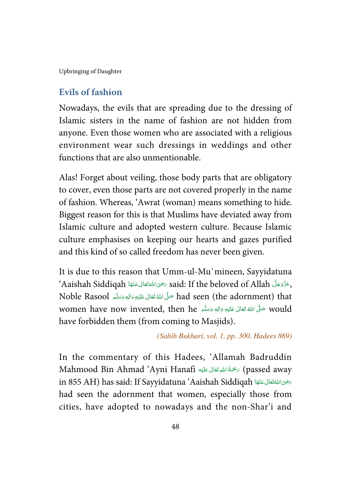#### **Evils of fashion**

Nowadays, the evils that are spreading due to the dressing of Islamic sisters in the name of fashion are not hidden from anyone. Even those women who are associated with a religious environment wear such dressings in weddings and other functions that are also unmentionable.

Alas! Forget about veiling, those body parts that are obligatory to cover, even those parts are not covered properly in the name of fashion. Whereas, 'Awrat (woman) means something to hide. Biggest reason for this is that Muslims have deviated away from Islamic culture and adopted western culture. Because Islamic culture emphasises on keeping our hearts and gazes purified and this kind of so called freedom has never been given.

It is due to this reason that Umm-ul-Mu`mineen, Sayyidatuna `Aaishah Siddiqah حَيْدَانْ عَنْهَا said: If the beloved of Allah حَقَّرْجَلَّ Aaishah Siddiqah ĺ -ć ----Noble Rasool حَلَّ اللَّهُ تَعَالَى عَلَيْهِ وَاللهِ وَسَلَّمَ Noble Rasool حَلَّ ĺ !--ć -would حَلَّى اللَّهُ تَعَالَى عَلَيْهِ وَاللهِ وَسَلَّم women have now invented, then he ĺ !--ć -have forbidden them (from coming to Masjids).

(Sahih Bukhari, vol. 1, pp. 300, Hadees 869)

In the commentary of this Hadees, 'Allamah Badruddin Mahmood Bin Ahmad 'Ayni Hanafi تَأْسُوتَعَانَى عَلَيْهَ Anafi اللهِ قَتَانَ عَلَيْهَ ĺ !--ŕ in 855 AH) has said: If Sayyidatuna 'Aaishah Siddiqah كَافِكْتَانْ عَنْهَا (in 855 AH ĺ -ć -had seen the adornment that women, especially those from cities, have adopted to nowadays and the non-Shar'i and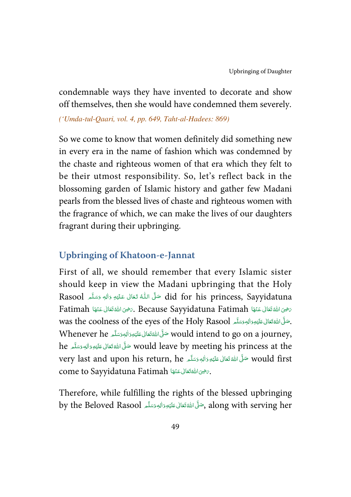condemnable ways they have invented to decorate and show off themselves, then she would have condemned them severely.

('Umda-tul-Qaari, vol. 4, pp. 649, Taht-al-Hadees: 869)

So we come to know that women definitely did something new in every era in the name of fashion which was condemned by the chaste and righteous women of that era which they felt to be their utmost responsibility. So, let's reflect back in the blossoming garden of Islamic history and gather few Madani pearls from the blessed lives of chaste and righteous women with the fragrance of which, we can make the lives of our daughters fragrant during their upbringing.

#### **Upbringing of Khatoon-e-Jannat**

First of all, we should remember that every Islamic sister should keep in view the Madani upbringing that the Holy Rasool   - - -      ٖ   #-  !-  " did for his princess, Sayyidatuna ŕ --֘֒ j -Í --Fatimah (جرخ الله تَعَالى عَنْهَا Fatimah و Because Sayyidatuna Fatimah جرخوح الله تَعَالى عَنْهَا Fatimah ĺ -ć --j -ĺ -was the coolness of the eyes of the Holy Rasool حَلَّىَ اللَّهُ تَعَالَى عَلَيْهِ وَاللهِ وَسَلَّمَ -Í !--ć --Whenever he حَلَّىَ اللَّهَ تَعَالَى عَلَيْهِ وَالْبِمَِسَلَّمَ Whenever he مَسَلَّمَا لِمَا يَسْتَمَعْ فَي ĺ !--ć -he صَلِّ اللَّهَ تَعَالَى عَلَيْهِ وَاللهِ وَسَلَّم he مَسْتَ اللَّهُ تَعَالَى عَلَيْهِ وَاللهِ وَسَلَّم -Í !--ć -very last and upon his return, he حَلَّى اللَّهَ تَعَالى عَلَيْهِ وَالِهِ وَسَلَّم would first -Í !--ć -come to Sayyidatuna Fatimah حَيْثَ اللَّهُ تَعَالَى عَنْهَا . ĺ -ć --

Therefore, while fulfilling the rights of the blessed upbringing by the Beloved Rasool حَلَّى اللَّهَ تَعَالى عَلَيْهِ دَالِهٖ دَسَلَّم , along with serving her ĺ !--ć --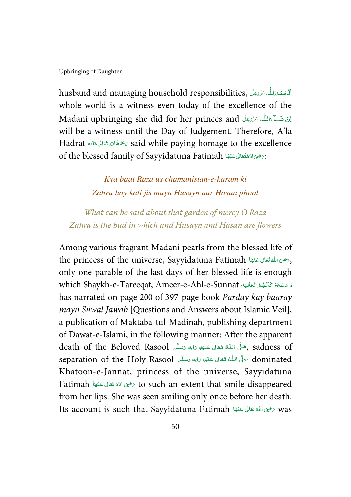husband and managing household responsibilities, أَلْحَمُدُّرِلِلُّهِ عَزَّدَجَلَّ , i -Į Ĺ j -whole world is a witness even today of the excellence of the اِنْ شَــٰٓاَءَاللّٰه عَزَّدَجَلّ Madani upbringing she did for her princes and --Í -will be a witness until the Day of Judgement. Therefore, A'la Hadrat سَمْحَةُ اللَّهِ تَعَالَى عَلَيْهِ Hadrat مَسْتَمَدُّ اللَّهِ تَعَالَى عَلَيْهِ Í !--ĺ of the blessed family of Sayyidatuna Fatimah حقاني عَنْهَا (of the blessed family of Sayyidatuna Fatimah ĺ -ź --

> Kya baat Raza us chamanistan-e-karam ki Zahra hay kali jis mayn Husayn aur Hasan phool

What can be said about that garden of mercy O Raza Zahra is the bud in which and Husayn and Hasan are flowers

Among various fragrant Madani pearls from the blessed life of the princess of the universe, Sayyidatuna Fatimah حَيْثِهَا لِمَعْنَانِكَ عَنْهَا الْمَسْتَقَالَ عَنْهَا ĺ -ć -only one parable of the last days of her blessed life is enough which Shaykh-e-Tareeqat, Ameer-e-Ahl-e-Sunnat دَامَتْ بَرَ كَاتُهُمُ الْعَالِيَه j í í í ---has narrated on page 200 of 397-page book Parday kay baaray mayn Suwal Jawab [Questions and Answers about Islamic Veil], a publication of Maktaba-tul-Madinah, publishing department of Dawat-e-Islami, in the following manner: After the apparent death of the Beloved Rasool ,حَلَّى اللَّهُ تَعَالَى عَلَيْهِ وَاللَّهِ وَسَلَّمَ , sadness of ś --֘֒ J ĺ -separation of the Holy Rasool حَلَّى اللَّهُ تَعَالَى عَلَيْهِ وَالِهٖ وَسَلَّم ć --֘֒ j ĺ --Khatoon-e-Jannat, princess of the universe, Sayyidatuna Fatimah + \*   -   (  ) & to such an extent that smile disappeared ĺ -ć -from her lips. She was seen smiling only once before her death. Its account is such that Sayyidatuna Fatimah سَفِيَ اللهُ تَعَالَى عَنْهَا Ats ĺ -ć --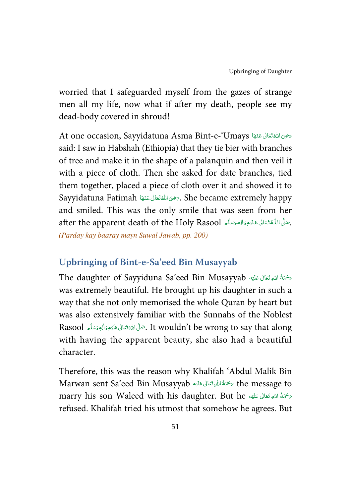worried that I safeguarded myself from the gazes of strange men all my life, now what if after my death, people see my dead-body covered in shroud!

At one occasion, Sayyidatuna Asma Bint-e-'Umays كَتَفِيمَا كَانَ At one occasion, Sayyidatuna Asma j -ć -said: I saw in Habshah (Ethiopia) that they tie bier with branches of tree and make it in the shape of a palanquin and then veil it with a piece of cloth. Then she asked for date branches, tied them together, placed a piece of cloth over it and showed it to Sayyidatuna Fatimah حَضَى اللهَ تَعَالى عَنْهَا  $\epsilon$ . She became extremely happy j -ć -and smiled. This was the only smile that was seen from her after the apparent death of the Holy Rasool حَلَّى اللُّهْ تَعَالى عَلَيْهِ وَاللهِ وَسَلَّم الْكُمْ تَقَالَى ع ŕ --֘֒ J -Í --

(Parday kay baaray mayn Suwal Jawab, pp. 200)

### **Upbringing of Bint-e-Sa'eed Bin Musayyab**

The daughter of Sayyiduna Sa'eed Bin Musayyab سخمَةُ اللهِ تَعَالى عَلَيْه ĺ !---was extremely beautiful. He brought up his daughter in such a way that she not only memorised the whole Quran by heart but was also extensively familiar with the Sunnahs of the Noblest Rasool ٱلْمَعْقَعَانِ عَلَيْهِ وَاللهِ وَسَلَّمَ Rasool مَسْلَمَا اللهُ اللهَ عَلَيْهِ وَاللهِ وَسَلَّمَ Rasool -Í !--ć -with having the apparent beauty, she also had a beautiful character.

Therefore, this was the reason why Khalifah 'Abdul Malik Bin Marwan sent Sa'eed Bin Musayyab ٱلْمَوتَعَالَى عَلَيْهِ the message to ĺ !---marry his son Waleed with his daughter. But he سَمْحَةُ اللَّهِ تَعَالَى عَلَيْه Í !--ŕ refused. Khalifah tried his utmost that somehow he agrees. But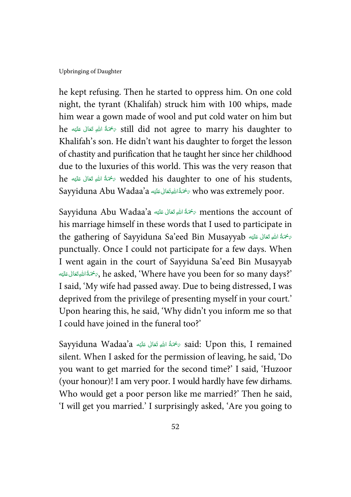he kept refusing. Then he started to oppress him. On one cold night, the tyrant (Khalifah) struck him with 100 whips, made him wear a gown made of wool and put cold water on him but he ﴿ وَمَمَةُ اللَّهِ تَعَالَى عَلَيْهِ he  $\epsilon$  still did not agree to marry his daughter to Í !--ĺ -Khalifah's son. He didn't want his daughter to forget the lesson of chastity and purification that he taught her since her childhood due to the luxuries of this world. This was the very reason that he سَمْتُهُ اللَّهِ تَعَالَى عَلَيْهِ he  $\sigma$  wedded his daughter to one of his students, Í !----Sayyiduna Abu Wadaa'a حَمَّةُاللَّهِ تَعَانِى عَلَيْهِ جَمَعْنَا (Sayyiduna Abu Wadaa'a حَمَّةُ اللَّهِ تَعَال ĺ !----

Sayyiduna Abu Wadaa'a ﴿ تَهْمَةُ اللَّهِ تَعَالَى عَلَيْهِ  $\tau$  mentions the account of ĺ !--ĺ his marriage himself in these words that I used to participate in the gathering of Sayyiduna Sa'eed Bin Musayyab تهجمة اللهِ ققابي مستمر الله بن الله عليه من السلام السلام تكافيه ŕ ĺ !--punctually. Once I could not participate for a few days. When I went again in the court of Sayyiduna Sa'eed Bin Musayyab  '  -  (  \$ %-&, he asked, 'Where have you been for so many days?' Í !--ĺ -I said, 'My wife had passed away. Due to being distressed, I was deprived from the privilege of presenting myself in your court.' Upon hearing this, he said, 'Why didn't you inform me so that I could have joined in the funeral too?'

Sayyiduna Wadaa'a ٱللَّهِ تَعَالَى عَلَيْهِ A'said: Upon this, I remained Í !--ĺ silent. When I asked for the permission of leaving, he said, 'Do you want to get married for the second time?' I said, 'Huzoor (your honour)! I am very poor. I would hardly have few dirhams. Who would get a poor person like me married?' Then he said, 'I will get you married.' I surprisingly asked, 'Are you going to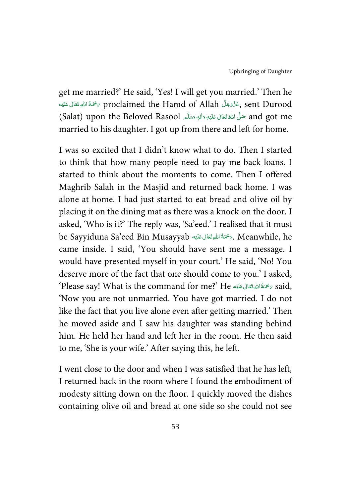get me married?' He said, 'Yes! I will get you married.' Then he جَدَّةَ اللهِ تَعَالَى عَلَيْهِ proclaimed the Hamd of Allah حَزَّدَجَلَّ , sent Durood Í !--ĺ --and got me صَلَّى اللهُ تَعَالَى عَلَيْهِ وَاللهِ وَسَلَّم (Salat) upon the Beloved Rasool ĺ !--ć -married to his daughter. I got up from there and left for home.

I was so excited that I didn't know what to do. Then I started to think that how many people need to pay me back loans. I started to think about the moments to come. Then I offered Maghrib Salah in the Masjid and returned back home. I was alone at home. I had just started to eat bread and olive oil by placing it on the dining mat as there was a knock on the door. I asked, 'Who is it?' The reply was, 'Sa'eed.' I realised that it must be Sayyiduna Sa'eed Bin Musayyab سَمْحَةُ اللَّهِ تَعَالَى عَلَيْهِ . Meanwhile, he ĺ !---came inside. I said, 'You should have sent me a message. I would have presented myself in your court.' He said, 'No! You deserve more of the fact that one should come to you.' I asked,  $^{\circ}$ Please say! What is the command for me?' He سَمَّةُ اللهِتَعَالى عَلَيْه  $_{\rm c}$  said, ĺ !--ĺ -'Now you are not unmarried. You have got married. I do not like the fact that you live alone even after getting married.' Then he moved aside and I saw his daughter was standing behind him. He held her hand and left her in the room. He then said to me, 'She is your wife.' After saying this, he left.

I went close to the door and when I was satisfied that he has left, I returned back in the room where I found the embodiment of modesty sitting down on the floor. I quickly moved the dishes containing olive oil and bread at one side so she could not see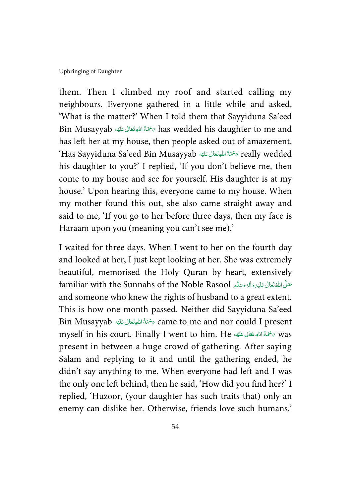them. Then I climbed my roof and started calling my neighbours. Everyone gathered in a little while and asked, 'What is the matter?' When I told them that Sayyiduna Sa'eed Bin Musayyab ٱلْجَمَّةُ اللَّهِ تَعَالَى عَلَيْهِ Bin Musayyab أَيُّقَا لَمَّا يَسَانَ عَلَيْهِ ĺ !--ĺ has left her at my house, then people asked out of amazement, ʻHas Sayyiduna Sa'eed Bin Musayyab سُحْمَةُاللهِتَعَالى عَلَيْه Gayyiduna Sa'eed Bin Musayyab ĺ !--ĺ his daughter to you?' I replied, 'If you don't believe me, then come to my house and see for yourself. His daughter is at my house.' Upon hearing this, everyone came to my house. When my mother found this out, she also came straight away and said to me, 'If you go to her before three days, then my face is Haraam upon you (meaning you can't see me).'

I waited for three days. When I went to her on the fourth day and looked at her, I just kept looking at her. She was extremely beautiful, memorised the Holy Quran by heart, extensively familiar with the Sunnahs of the Noble Rasool حَلَّى اللَّهُ تَعَانَى عَلَيْهِ وَالِهِ وَسَلَّهُ الْمَاسَّلَةُ ĺ !--ć -and someone who knew the rights of husband to a great extent. This is how one month passed. Neither did Sayyiduna Sa'eed Bin Musayyab ٱلْصَحِّمَةُ اللهِ تَعَالَى عَلَيْه Sin Musayyab مَتَّمَّةً اللهِ تَعَالَى عَلَيْه Í !--ŕ myself in his court. Finally I went to him. He مَحَّةُ اللهِ تَعَالى عَلَيْه  $\sim$  was Í !--ŕ present in between a huge crowd of gathering. After saying Salam and replying to it and until the gathering ended, he didn't say anything to me. When everyone had left and I was the only one left behind, then he said, 'How did you find her?' I replied, 'Huzoor, (your daughter has such traits that) only an enemy can dislike her. Otherwise, friends love such humans.'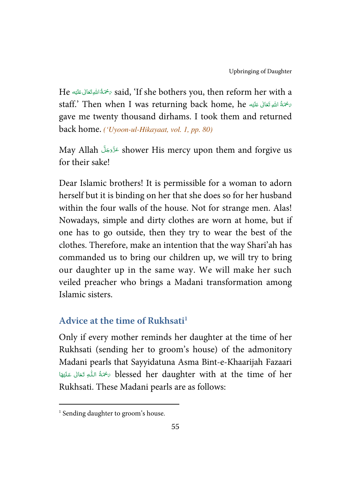He حَمَّةُاللَّهِ تَعَالَى عَلَيْهِ He bothers you, then reform her with a ĺ !--ĺ staff.' Then when I was returning back home, he جَمْةُ اللَّهِ تَعَالَى عَلَيْه Í !--ŕ gave me twenty thousand dirhams. I took them and returned back home. ('Uyoon-ul-Hikayaat, vol. 1, pp. 80)

May Allah عَزَّدَجَلَّ shower His mercy upon them and forgive us -for their sake!

Dear Islamic brothers! It is permissible for a woman to adorn herself but it is binding on her that she does so for her husband within the four walls of the house. Not for strange men. Alas! Nowadays, simple and dirty clothes are worn at home, but if one has to go outside, then they try to wear the best of the clothes. Therefore, make an intention that the way Shari'ah has commanded us to bring our children up, we will try to bring our daughter up in the same way. We will make her such veiled preacher who brings a Madani transformation among Islamic sisters.

# **Advice at the time of Rukhsati<sup>1</sup>**

Only if every mother reminds her daughter at the time of her Rukhsati (sending her to groom's house) of the admonitory Madani pearls that Sayyidatuna Asma Bint-e-Khaarijah Fazaari ة مُحْمَدُّ اللَّـهِ تَعَالَى عَلَيْهَا  $\delta$  blessed her daughter with at the time of her í -ļ --֬֘֒ í !-Rukhsati. These Madani pearls are as follows:

l

<sup>&</sup>lt;sup>1</sup> Sending daughter to groom's house.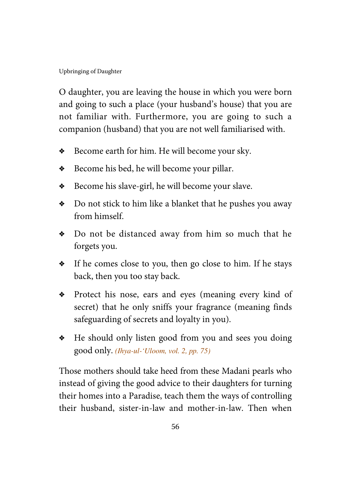O daughter, you are leaving the house in which you were born and going to such a place (your husband's house) that you are not familiar with. Furthermore, you are going to such a companion (husband) that you are not well familiarised with.

- ◆ Become earth for him. He will become your sky.
- $\triangleleft$  Become his bed, he will become your pillar.
- $\bullet$  Become his slave-girl, he will become your slave.
- $\bullet$  Do not stick to him like a blanket that he pushes you away from himself.
- $\bullet$  Do not be distanced away from him so much that he forgets you.
- $\bullet$  If he comes close to you, then go close to him. If he stays back, then you too stay back.
- \* Protect his nose, ears and eyes (meaning every kind of secret) that he only sniffs your fragrance (meaning finds safeguarding of secrets and loyalty in you).
- $\bullet$  He should only listen good from you and sees you doing good only. (Ihya-ul-'Uloom, vol. 2, pp. 75)

Those mothers should take heed from these Madani pearls who instead of giving the good advice to their daughters for turning their homes into a Paradise, teach them the ways of controlling their husband, sister-in-law and mother-in-law. Then when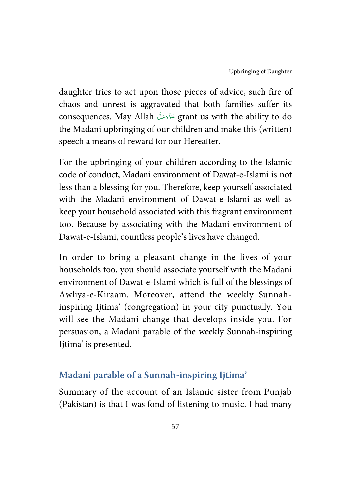daughter tries to act upon those pieces of advice, such fire of chaos and unrest is aggravated that both families suffer its consequences. May Allah - - - grant us with the ability to do -the Madani upbringing of our children and make this (written) speech a means of reward for our Hereafter.

For the upbringing of your children according to the Islamic code of conduct, Madani environment of Dawat-e-Islami is not less than a blessing for you. Therefore, keep yourself associated with the Madani environment of Dawat-e-Islami as well as keep your household associated with this fragrant environment too. Because by associating with the Madani environment of Dawat-e-Islami, countless people's lives have changed.

In order to bring a pleasant change in the lives of your households too, you should associate yourself with the Madani environment of Dawat-e-Islami which is full of the blessings of Awliya-e-Kiraam. Moreover, attend the weekly Sunnahinspiring Ijtima' (congregation) in your city punctually. You will see the Madani change that develops inside you. For persuasion, a Madani parable of the weekly Sunnah-inspiring Ijtima' is presented.

### **Madani parable of a Sunnah-inspiring Ijtima'**

Summary of the account of an Islamic sister from Punjab (Pakistan) is that I was fond of listening to music. I had many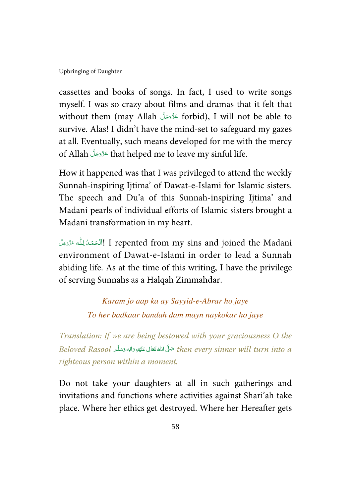cassettes and books of songs. In fact, I used to write songs myself. I was so crazy about films and dramas that it felt that without them (may Allah عَزَّدَجَلَّ forbid), I will not be able to -survive. Alas! I didn't have the mind-set to safeguard my gazes at all. Eventually, such means developed for me with the mercy of Allah - - - that helped me to leave my sinful life. --

How it happened was that I was privileged to attend the weekly Sunnah-inspiring Ijtima' of Dawat-e-Islami for Islamic sisters. The speech and Du'a of this Sunnah-inspiring Ijtima' and Madani pearls of individual efforts of Islamic sisters brought a Madani transformation in my heart.

اَلْحَمْدُلِلُّه عَزَّمَةَ I repented from my sins and joined the Madani í ļ í Į -environment of Dawat-e-Islami in order to lead a Sunnah abiding life. As at the time of this writing, I have the privilege of serving Sunnahs as a Halqah Zimmahdar.

> Karam jo aap ka ay Sayyid-e-Abrar ho jaye To her badkaar bandah dam mayn naykokar ho jaye

Translation: If we are being bestowed with your graciousness O the Beloved Rasool حَلَّى اللَّهْ تَعَالى عَلَيْهِ وَالِهٖ وَسَلَّم Beloved Rasool حَلَّى اللَّهُ قَعَالَى عَلَيْهِ -Í !--ć -righteous person within a moment.

Do not take your daughters at all in such gatherings and invitations and functions where activities against Shari'ah take place. Where her ethics get destroyed. Where her Hereafter gets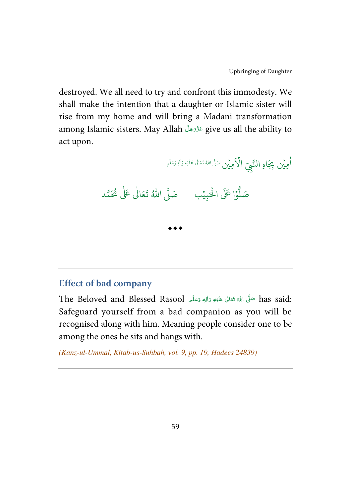destroyed. We all need to try and confront this immodesty. We shall make the intention that a daughter or Islamic sister will rise from my home and will bring a Madani transformation among Islamic sisters. May Allah عَزَّدَجَلَّ give us all the ability to -act upon.

لَاَمِيۡن هِ يُمن بِجَاهِ النَّبِيِّ الْأَهِيْنِ صَلَّى اللهُ نَعَالٰى عَلَيْهِ وَلٰهِ وَسَلَّم ا ٰ å, .<br>وا عَلَى الْحَ ہ<br>ا و<br>ا صَلُّوْا عَلَى الْحَبِيْبِ ۚ صَلَّى اللَّهُ تَعَالَىٰ عَلَىٰ مُحَمَّد ֘ ٰ  $\bullet\bullet\bullet$ 

### **Effect of bad company**

The Beloved and Blessed Rasool مَلَّى اللَّهُ تَعَالَى عَلَيْهِ وَاللَّهِ وَسَلَّمَ  $\,$  has said: -Í !--ź --Safeguard yourself from a bad companion as you will be recognised along with him. Meaning people consider one to be among the ones he sits and hangs with.

(Kanz-ul-Ummal, Kitab-us-Suhbah, vol. 9, pp. 19, Hadees 24839)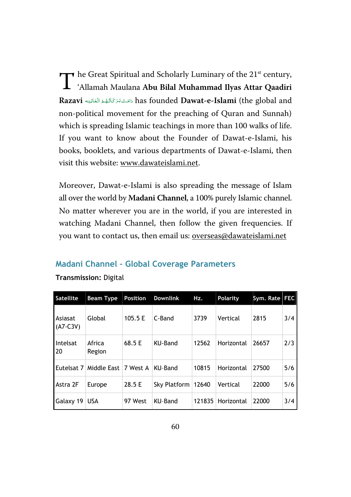The Great Spiritual and Scholarly Luminary of the 21<sup>st</sup> century,<br>
'Allamah Maulana **Abu Bilal Muhammad Ilyas Attar Qaadiri** 'Allamah Maulana **Abu Bilal Muhammad Ilyas Attar Qaadiri**  Razavi وَامَتْ بَرَ كَاتُهْمُ الْعَالِيَه **Razavi** (the global and j í Í ĺ --non-political movement for the preaching of Quran and Sunnah) which is spreading Islamic teachings in more than 100 walks of life. If you want to know about the Founder of Dawat-e-Islami, his books, booklets, and various departments of Dawat-e-Islami, then visit this website: www.dawateislami.net.

Moreover, Dawat-e-Islami is also spreading the message of Islam all over the world by **Madani Channel**, a 100% purely Islamic channel. No matter wherever you are in the world, if you are interested in watching Madani Channel, then follow the given frequencies. If you want to contact us, then email us: **overseas@dawateislami.net** 

#### Madani Channel – Global Coverage Parameters

| Satellite             | <b>Beam Type</b>     | <b>Position</b> | <b>Downlink</b>      | Hz.    | Polarity   | Sym. Rate | <b>FEC</b> |
|-----------------------|----------------------|-----------------|----------------------|--------|------------|-----------|------------|
| Asiasat<br>$(A7-C3V)$ | Global               | 105.5 E         | C-Band               | 3739   | Vertical   | 2815      | 3/4        |
| Intelsat<br>20        | Africa<br>Region     | 68.5 E          | KU-Band              | 12562  | Horizontal | 26657     | 2/3        |
| Eutelsat 7            | Middle East 7 West A |                 | KU-Band              | 10815  | Horizontal | 27500     | 5/6        |
| Astra 2F              | Europe               | 28.5 E          | Sky Platform   12640 |        | Vertical   | 22000     | 5/6        |
| Galaxy 19             | <b>USA</b>           | 97 West         | KU-Band              | 121835 | Horizontal | 22000     | 3/4        |

#### Transmission: Digital